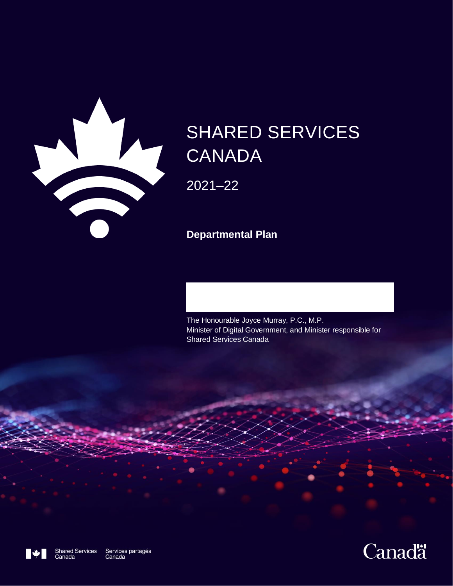

# SHARED SERVICES **CANADA**

2021–22

**Departmental Plan**

The Honourable Joyce Murray, P.C., M.P. Minister of Digital Government, and Minister responsible for Shared Services Canada



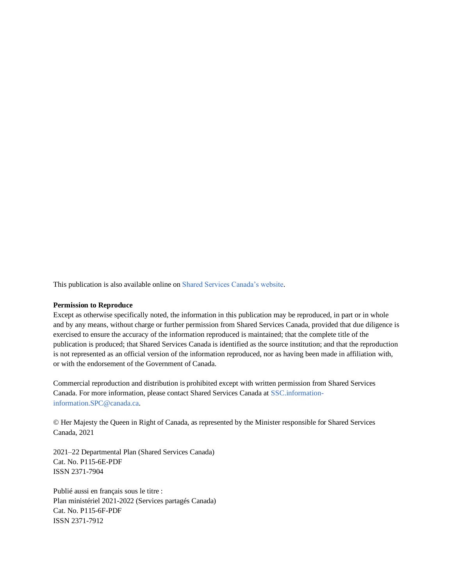This publication is also available online o[n Shared Services Canada's website.](https://www.canada.ca/en/shared-services/corporate/publications.html)

#### **Permission to Reproduce**

Except as otherwise specifically noted, the information in this publication may be reproduced, in part or in whole and by any means, without charge or further permission from Shared Services Canada, provided that due diligence is exercised to ensure the accuracy of the information reproduced is maintained; that the complete title of the publication is produced; that Shared Services Canada is identified as the source institution; and that the reproduction is not represented as an official version of the information reproduced, nor as having been made in affiliation with, or with the endorsement of the Government of Canada.

Commercial reproduction and distribution is prohibited except with written permission from Shared Services Canada. For more information, please contact Shared Services Canada at [SSC.information](mailto:SSC.information-information.SPC@canada.ca)[information.SPC@canada.ca.](mailto:SSC.information-information.SPC@canada.ca)

© Her Majesty the Queen in Right of Canada, as represented by the Minister responsible for Shared Services Canada, 2021

2021–22 Departmental Plan (Shared Services Canada) Cat. No. P115-6E-PDF ISSN 2371-7904

Publié aussi en français sous le titre : Plan ministériel 2021-2022 (Services partagés Canada) Cat. No. P115-6F-PDF ISSN 2371-7912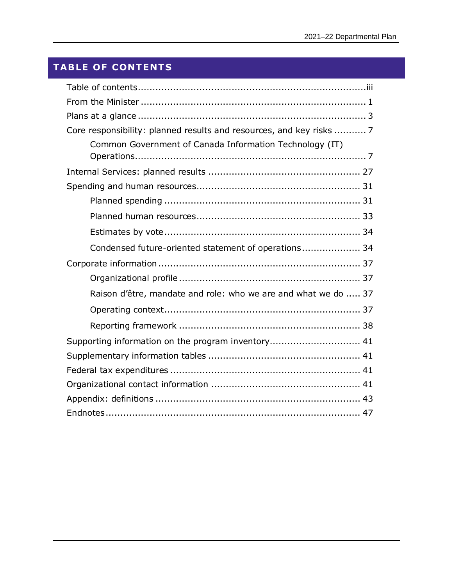# <span id="page-2-0"></span>**TABLE OF CONTENTS**

| Core responsibility: planned results and resources, and key risks  7 |  |
|----------------------------------------------------------------------|--|
| Common Government of Canada Information Technology (IT)              |  |
|                                                                      |  |
|                                                                      |  |
|                                                                      |  |
|                                                                      |  |
|                                                                      |  |
| Condensed future-oriented statement of operations 34                 |  |
|                                                                      |  |
|                                                                      |  |
| Raison d'être, mandate and role: who we are and what we do  37       |  |
|                                                                      |  |
|                                                                      |  |
| Supporting information on the program inventory 41                   |  |
|                                                                      |  |
|                                                                      |  |
|                                                                      |  |
|                                                                      |  |
|                                                                      |  |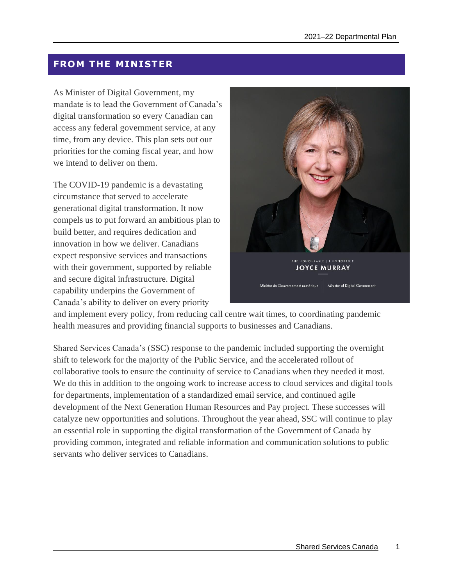# <span id="page-4-0"></span>**FROM THE MINISTER**

As Minister of Digital Government, my mandate is to lead the Government of Canada's digital transformation so every Canadian can access any federal government service, at any time, from any device. This plan sets out our priorities for the coming fiscal year, and how we intend to deliver on them.

The COVID-19 pandemic is a devastating circumstance that served to accelerate generational digital transformation. It now compels us to put forward an ambitious plan to build better, and requires dedication and innovation in how we deliver. Canadians expect responsive services and transactions with their government, supported by reliable and secure digital infrastructure. Digital capability underpins the Government of Canada's ability to deliver on every priority



and implement every policy, from reducing call centre wait times, to coordinating pandemic health measures and providing financial supports to businesses and Canadians.

Shared Services Canada's (SSC) response to the pandemic included supporting the overnight shift to telework for the majority of the Public Service, and the accelerated rollout of collaborative tools to ensure the continuity of service to Canadians when they needed it most. We do this in addition to the ongoing work to increase access to cloud services and digital tools for departments, implementation of a standardized email service, and continued agile development of the Next Generation Human Resources and Pay project. These successes will catalyze new opportunities and solutions. Throughout the year ahead, SSC will continue to play an essential role in supporting the digital transformation of the Government of Canada by providing common, integrated and reliable information and communication solutions to public servants who deliver services to Canadians.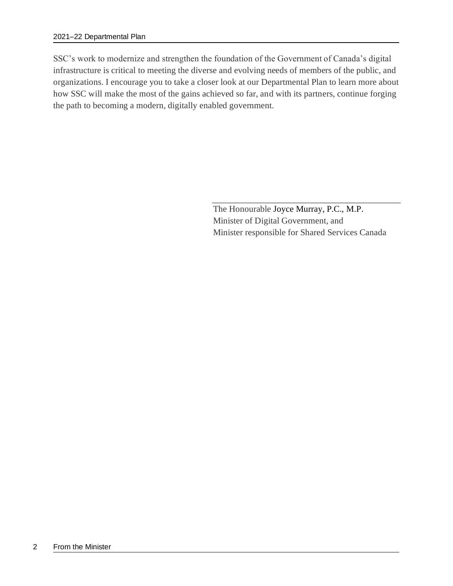SSC's work to modernize and strengthen the foundation of the Government of Canada's digital infrastructure is critical to meeting the diverse and evolving needs of members of the public, and organizations. I encourage you to take a closer look at our Departmental Plan to learn more about how SSC will make the most of the gains achieved so far, and with its partners, continue forging the path to becoming a modern, digitally enabled government.

> The Honourable Joyce Murray, P.C., M.P. Minister of Digital Government, and Minister responsible for Shared Services Canada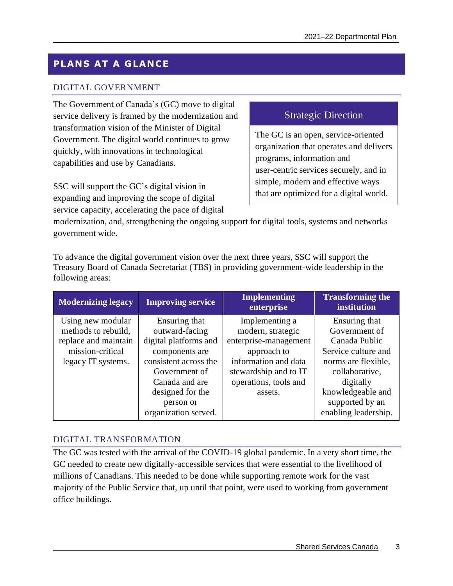# <span id="page-6-0"></span>**PLANS AT A GLANCE**

# DIGITAL GOVERNMENT

The Government of Canada's (GC) move to digital service delivery is framed by the modernization and transformation vision of the Minister of Digital Government. The digital world continues to grow quickly, with innovations in technological capabilities and use by Canadians.

SSC will support the GC's digital vision in expanding and improving the scope of digital service capacity, accelerating the pace of digital

# Strategic Direction

The GC is an open, service-oriented organization that operates and delivers programs, information and user-centric services securely, and in simple, modern and effective ways that are optimized for a digital world.

modernization, and, strengthening the ongoing support for digital tools, systems and networks government wide.

To advance the digital government vision over the next three years, SSC will support the Treasury Board of Canada Secretariat (TBS) in providing government-wide leadership in the following areas:

| <b>Modernizing legacy</b>                                                                                  | <b>Improving service</b>                                                                                                                                                                        | <b>Implementing</b><br>enterprise                                                                                                                                | <b>Transforming the</b><br>institution                                                                                                                                                       |
|------------------------------------------------------------------------------------------------------------|-------------------------------------------------------------------------------------------------------------------------------------------------------------------------------------------------|------------------------------------------------------------------------------------------------------------------------------------------------------------------|----------------------------------------------------------------------------------------------------------------------------------------------------------------------------------------------|
| Using new modular<br>methods to rebuild,<br>replace and maintain<br>mission-critical<br>legacy IT systems. | Ensuring that<br>outward-facing<br>digital platforms and<br>components are<br>consistent across the<br>Government of<br>Canada and are<br>designed for the<br>person or<br>organization served. | Implementing a<br>modern, strategic<br>enterprise-management<br>approach to<br>information and data<br>stewardship and to IT<br>operations, tools and<br>assets. | Ensuring that<br>Government of<br>Canada Public<br>Service culture and<br>norms are flexible,<br>collaborative,<br>digitally<br>knowledgeable and<br>supported by an<br>enabling leadership. |

## DIGITAL TRANSFORMATION

The GC was tested with the arrival of the COVID-19 global pandemic. In a very short time, the GC needed to create new digitally-accessible services that were essential to the livelihood of millions of Canadians. This needed to be done while supporting remote work for the vast majority of the Public Service that, up until that point, were used to working from government office buildings.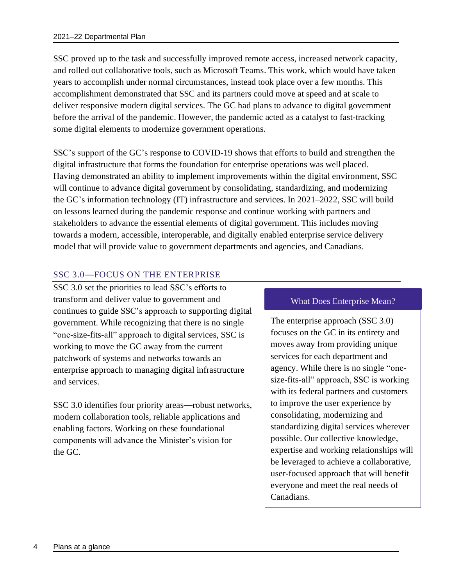SSC proved up to the task and successfully improved remote access, increased network capacity, and rolled out collaborative tools, such as Microsoft Teams. This work, which would have taken years to accomplish under normal circumstances, instead took place over a few months. This accomplishment demonstrated that SSC and its partners could move at speed and at scale to deliver responsive modern digital services. The GC had plans to advance to digital government before the arrival of the pandemic. However, the pandemic acted as a catalyst to fast-tracking some digital elements to modernize government operations.

SSC's support of the GC's response to COVID-19 shows that efforts to build and strengthen the digital infrastructure that forms the foundation for enterprise operations was well placed. Having demonstrated an ability to implement improvements within the digital environment, SSC will continue to advance digital government by consolidating, standardizing, and modernizing the GC's information technology (IT) infrastructure and services. In 2021–2022, SSC will build on lessons learned during the pandemic response and continue working with partners and stakeholders to advance the essential elements of digital government. This includes moving towards a modern, accessible, interoperable, and digitally enabled enterprise service delivery model that will provide value to government departments and agencies, and Canadians.

# SSC 3.0—FOCUS ON THE ENTERPRISE

SSC 3.0 set the priorities to lead SSC's efforts to transform and deliver value to government and continues to guide SSC's approach to supporting digital government. While recognizing that there is no single "one-size-fits-all" approach to digital services, SSC is working to move the GC away from the current patchwork of systems and networks towards an enterprise approach to managing digital infrastructure and services.

SSC 3.0 identifies four priority areas—robust networks, modern collaboration tools, reliable applications and enabling factors. Working on these foundational components will advance the Minister's vision for the GC.

#### What Does Enterprise Mean?

The enterprise approach (SSC 3.0) focuses on the GC in its entirety and moves away from providing unique services for each department and agency. While there is no single "onesize-fits-all" approach, SSC is working with its federal partners and customers to improve the user experience by consolidating, modernizing and standardizing digital services wherever possible. Our collective knowledge, expertise and working relationships will be leveraged to achieve a collaborative, user-focused approach that will benefit everyone and meet the real needs of Canadians.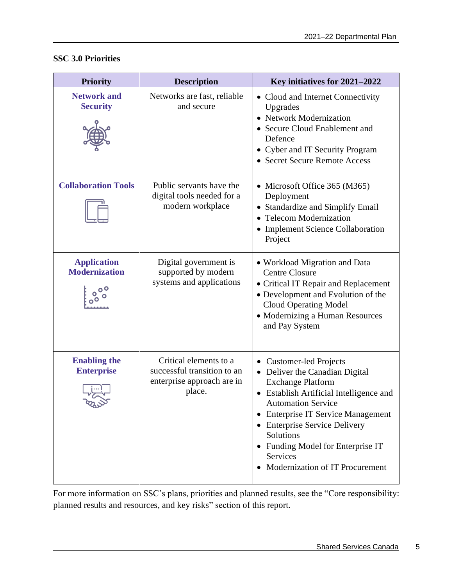| <b>Priority</b>                               | <b>Description</b>                                                                            | Key initiatives for 2021-2022                                                                                                                                                                                                                                                                                                                                        |
|-----------------------------------------------|-----------------------------------------------------------------------------------------------|----------------------------------------------------------------------------------------------------------------------------------------------------------------------------------------------------------------------------------------------------------------------------------------------------------------------------------------------------------------------|
| <b>Network and</b><br><b>Security</b>         | Networks are fast, reliable<br>and secure                                                     | • Cloud and Internet Connectivity<br>Upgrades<br>• Network Modernization<br>• Secure Cloud Enablement and<br>Defence<br>• Cyber and IT Security Program<br>• Secret Secure Remote Access                                                                                                                                                                             |
| <b>Collaboration Tools</b>                    | Public servants have the<br>digital tools needed for a<br>modern workplace                    | • Microsoft Office 365 (M365)<br>Deployment<br>• Standardize and Simplify Email<br>• Telecom Modernization<br><b>Implement Science Collaboration</b><br>Project                                                                                                                                                                                                      |
| <b>Application</b><br><b>Modernization</b>    | Digital government is<br>supported by modern<br>systems and applications                      | • Workload Migration and Data<br><b>Centre Closure</b><br>• Critical IT Repair and Replacement<br>• Development and Evolution of the<br><b>Cloud Operating Model</b><br>• Modernizing a Human Resources<br>and Pay System                                                                                                                                            |
| <b>Enabling the</b><br><b>Enterprise</b><br>ౡ | Critical elements to a<br>successful transition to an<br>enterprise approach are in<br>place. | <b>Customer-led Projects</b><br>• Deliver the Canadian Digital<br><b>Exchange Platform</b><br><b>Establish Artificial Intelligence and</b><br>$\bullet$<br><b>Automation Service</b><br><b>Enterprise IT Service Management</b><br><b>Enterprise Service Delivery</b><br>Solutions<br>Funding Model for Enterprise IT<br>Services<br>Modernization of IT Procurement |

# **SSC 3.0 Priorities**

For more information on SSC's plans, priorities and planned results, see the "Core responsibility: planned results and resources, and key risks" section of this report.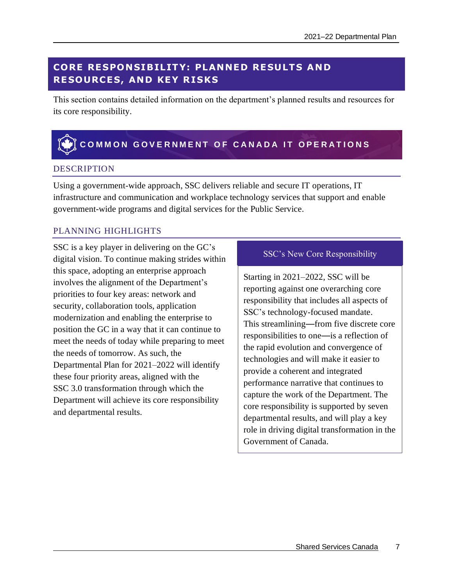# <span id="page-10-0"></span>**CORE RE SPON SIB IL IT Y: PLANNED RE SULT S AND RESOURCES, AND KEY RISKS**

This section contains detailed information on the department's planned results and resources for its core responsibility.

# <span id="page-10-1"></span>**COMMON GOVERNMENT OF CANADA IT OPERATIONS**

## DESCRIPTION

Using a government-wide approach, SSC delivers reliable and secure IT operations, IT infrastructure and communication and workplace technology services that support and enable government-wide programs and digital services for the Public Service.

# PLANNING HIGHLIGHTS

SSC is a key player in delivering on the GC's digital vision. To continue making strides within this space, adopting an enterprise approach involves the alignment of the Department's priorities to four key areas: network and security, collaboration tools, application modernization and enabling the enterprise to position the GC in a way that it can continue to meet the needs of today while preparing to meet the needs of tomorrow. As such, the Departmental Plan for 2021–2022 will identify these four priority areas, aligned with the SSC 3.0 transformation through which the Department will achieve its core responsibility and departmental results.

# SSC's New Core Responsibility

Starting in 2021–2022, SSC will be reporting against one overarching core responsibility that includes all aspects of SSC's technology-focused mandate. This streamlining—from five discrete core responsibilities to one—is a reflection of the rapid evolution and convergence of technologies and will make it easier to provide a coherent and integrated performance narrative that continues to capture the work of the Department. The core responsibility is supported by seven departmental results, and will play a key role in driving digital transformation in the Government of Canada.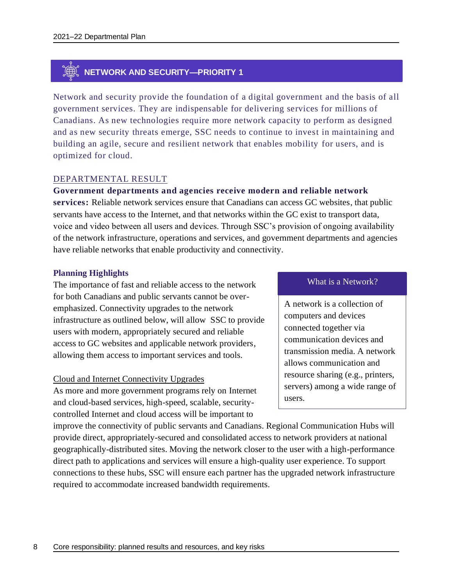# **NETWORK AND SECURITY—PRIORITY 1**

Network and security provide the foundation of a digital government and the basis of all government services. They are indispensable for delivering services for millions of Canadians. As new technologies require more network capacity to perform as designed and as new security threats emerge, SSC needs to continue to invest in maintaining and building an agile, secure and resilient network that enables mobility for users, and is optimized for cloud.

## DEPARTMENTAL RESULT

**Government departments and agencies receive modern and reliable network services:** Reliable network services ensure that Canadians can access GC websites, that public servants have access to the Internet, and that networks within the GC exist to transport data, voice and video between all users and devices. Through SSC's provision of ongoing availability of the network infrastructure, operations and services, and government departments and agencies have reliable networks that enable productivity and connectivity.

#### **Planning Highlights**

The importance of fast and reliable access to the network for both Canadians and public servants cannot be overemphasized. Connectivity upgrades to the network infrastructure as outlined below, will allow SSC to provide users with modern, appropriately secured and reliable access to GC websites and applicable network providers, allowing them access to important services and tools.

#### Cloud and Internet Connectivity Upgrades

As more and more government programs rely on Internet and cloud-based services, high-speed, scalable, securitycontrolled Internet and cloud access will be important to

#### What is a Network?

A network is a collection of computers and devices connected together via communication devices and transmission media. A network allows communication and resource sharing (e.g., printers, servers) among a wide range of users.

improve the connectivity of public servants and Canadians. Regional Communication Hubs will provide direct, appropriately-secured and consolidated access to network providers at national geographically-distributed sites. Moving the network closer to the user with a high-performance direct path to applications and services will ensure a high-quality user experience. To support connections to these hubs, SSC will ensure each partner has the upgraded network infrastructure required to accommodate increased bandwidth requirements.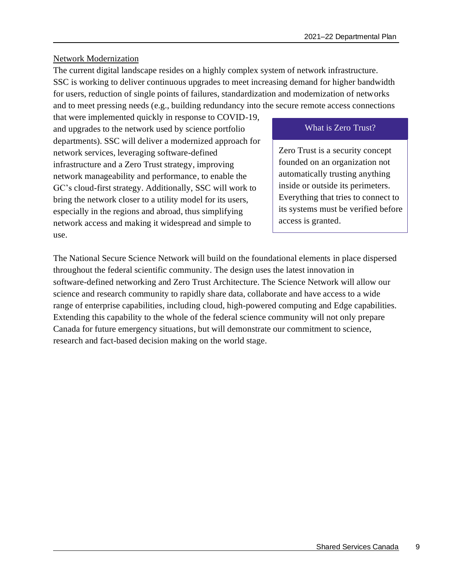## Network Modernization

The current digital landscape resides on a highly complex system of network infrastructure. SSC is working to deliver continuous upgrades to meet increasing demand for higher bandwidth for users, reduction of single points of failures, standardization and modernization of networks and to meet pressing needs (e.g., building redundancy into the secure remote access connections

that were implemented quickly in response to COVID-19, and upgrades to the network used by science portfolio departments). SSC will deliver a modernized approach for network services, leveraging software-defined infrastructure and a Zero Trust strategy, improving network manageability and performance, to enable the GC's cloud-first strategy. Additionally, SSC will work to bring the network closer to a utility model for its users, especially in the regions and abroad, thus simplifying network access and making it widespread and simple to use.

# What is Zero Trust?

Zero Trust is a security concept founded on an organization not automatically trusting anything inside or outside its perimeters. Everything that tries to connect to its systems must be verified before access is granted.

The National Secure Science Network will build on the foundational elements in place dispersed throughout the federal scientific community. The design uses the latest innovation in software-defined networking and Zero Trust Architecture. The Science Network will allow our science and research community to rapidly share data, collaborate and have access to a wide range of enterprise capabilities, including cloud, high-powered computing and Edge capabilities. Extending this capability to the whole of the federal science community will not only prepare Canada for future emergency situations, but will demonstrate our commitment to science, research and fact-based decision making on the world stage.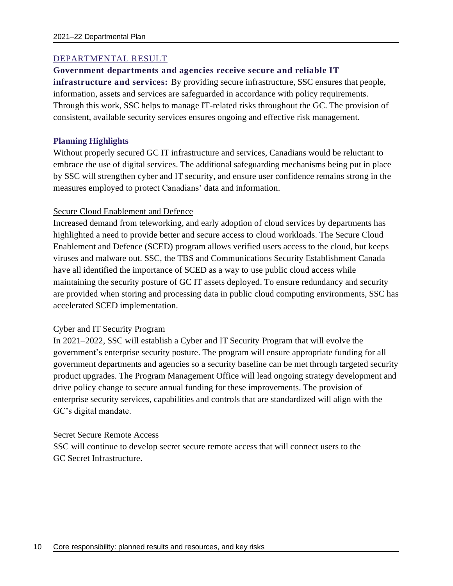## DEPARTMENTAL RESULT

#### **Government departments and agencies receive secure and reliable IT**

**infrastructure and services:** By providing secure infrastructure, SSC ensures that people, information, assets and services are safeguarded in accordance with policy requirements. Through this work, SSC helps to manage IT-related risks throughout the GC. The provision of consistent, available security services ensures ongoing and effective risk management.

#### **Planning Highlights**

Without properly secured GC IT infrastructure and services, Canadians would be reluctant to embrace the use of digital services. The additional safeguarding mechanisms being put in place by SSC will strengthen cyber and IT security, and ensure user confidence remains strong in the measures employed to protect Canadians' data and information.

#### Secure Cloud Enablement and Defence

Increased demand from teleworking, and early adoption of cloud services by departments has highlighted a need to provide better and secure access to cloud workloads. The Secure Cloud Enablement and Defence (SCED) program allows verified users access to the cloud, but keeps viruses and malware out. SSC, the TBS and Communications Security Establishment Canada have all identified the importance of SCED as a way to use public cloud access while maintaining the security posture of GC IT assets deployed. To ensure redundancy and security are provided when storing and processing data in public cloud computing environments, SSC has accelerated SCED implementation.

#### Cyber and IT Security Program

In 2021–2022, SSC will establish a Cyber and IT Security Program that will evolve the government's enterprise security posture. The program will ensure appropriate funding for all government departments and agencies so a security baseline can be met through targeted security product upgrades. The Program Management Office will lead ongoing strategy development and drive policy change to secure annual funding for these improvements. The provision of enterprise security services, capabilities and controls that are standardized will align with the GC's digital mandate.

#### Secret Secure Remote Access

SSC will continue to develop secret secure remote access that will connect users to the GC Secret Infrastructure.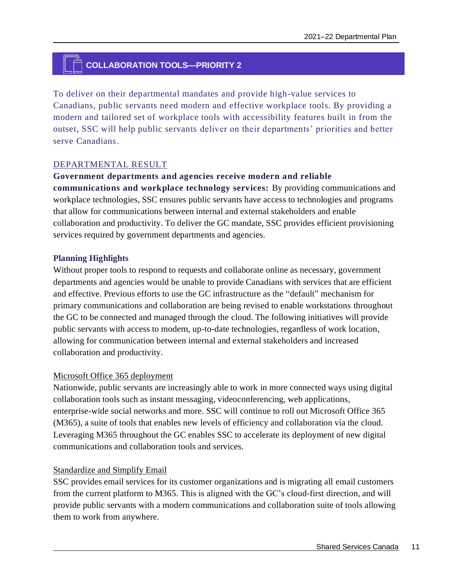# **COLLABORATION TOOLS—PRIORITY 2**

To deliver on their departmental mandates and provide high-value services to Canadians, public servants need modern and effective workplace tools. By providing a modern and tailored set of workplace tools with accessibility features built in from the outset, SSC will help public servants deliver on their departments' priorities and better serve Canadians.

#### DEPARTMENTAL RESULT

#### **Government departments and agencies receive modern and reliable**

**communications and workplace technology services:** By providing communications and workplace technologies, SSC ensures public servants have access to technologies and programs that allow for communications between internal and external stakeholders and enable collaboration and productivity. To deliver the GC mandate, SSC provides efficient provisioning services required by government departments and agencies.

#### **Planning Highlights**

Without proper tools to respond to requests and collaborate online as necessary, government departments and agencies would be unable to provide Canadians with services that are efficient and effective. Previous efforts to use the GC infrastructure as the "default" mechanism for primary communications and collaboration are being revised to enable workstations throughout the GC to be connected and managed through the cloud. The following initiatives will provide public servants with access to modern, up-to-date technologies, regardless of work location, allowing for communication between internal and external stakeholders and increased collaboration and productivity.

#### Microsoft Office 365 deployment

Nationwide, public servants are increasingly able to work in more connected ways using digital collaboration tools such as instant messaging, videoconferencing, web applications, enterprise-wide social networks and more. SSC will continue to roll out Microsoft Office 365 (M365), a suite of tools that enables new levels of efficiency and collaboration via the cloud. Leveraging M365 throughout the GC enables SSC to accelerate its deployment of new digital communications and collaboration tools and services.

#### Standardize and Simplify Email

SSC provides email services for its customer organizations and is migrating all email customers from the current platform to M365. This is aligned with the GC's cloud-first direction, and will provide public servants with a modern communications and collaboration suite of tools allowing them to work from anywhere.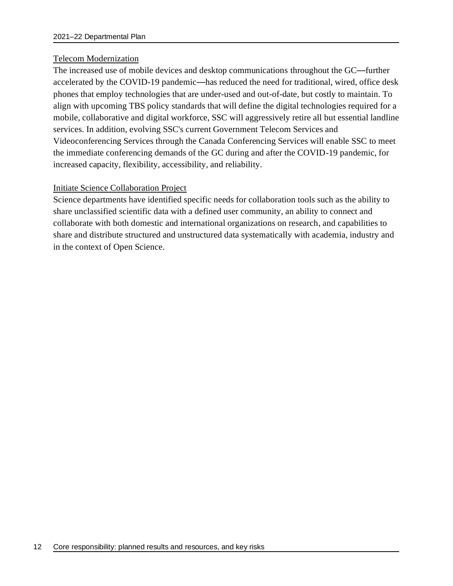#### Telecom Modernization

The increased use of mobile devices and desktop communications throughout the GC—further accelerated by the COVID-19 pandemic—has reduced the need for traditional, wired, office desk phones that employ technologies that are under-used and out-of-date, but costly to maintain. To align with upcoming TBS policy standards that will define the digital technologies required for a mobile, collaborative and digital workforce, SSC will aggressively retire all but essential landline services. In addition, evolving SSC's current Government Telecom Services and Videoconferencing Services through the Canada Conferencing Services will enable SSC to meet the immediate conferencing demands of the GC during and after the COVID-19 pandemic, for increased capacity, flexibility, accessibility, and reliability.

#### Initiate Science Collaboration Project

Science departments have identified specific needs for collaboration tools such as the ability to share unclassified scientific data with a defined user community, an ability to connect and collaborate with both domestic and international organizations on research, and capabilities to share and distribute structured and unstructured data systematically with academia, industry and in the context of Open Science.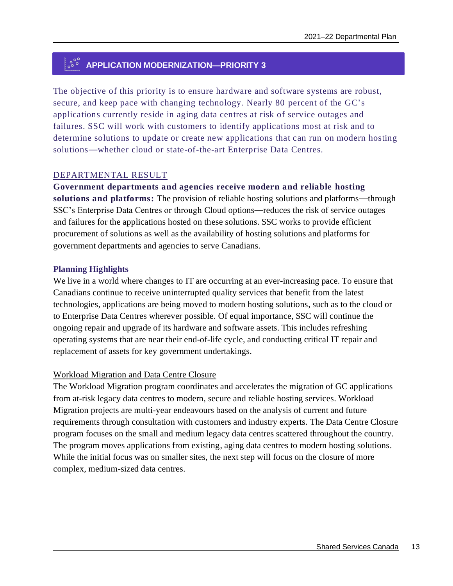# **APPLICATION MODERNIZATION—PRIORITY 3**

The objective of this priority is to ensure hardware and software systems are robust, secure, and keep pace with changing technology. Nearly 80 percent of the GC's applications currently reside in aging data centres at risk of service outages and failures. SSC will work with customers to identify applications most at risk and to determine solutions to update or create new applications that can run on modern hosting solutions—whether cloud or state-of-the-art Enterprise Data Centres.

#### DEPARTMENTAL RESULT

**Government departments and agencies receive modern and reliable hosting solutions and platforms:** The provision of reliable hosting solutions and platforms—through SSC's Enterprise Data Centres or through Cloud options—reduces the risk of service outages and failures for the applications hosted on these solutions. SSC works to provide efficient procurement of solutions as well as the availability of hosting solutions and platforms for government departments and agencies to serve Canadians.

#### **Planning Highlights**

We live in a world where changes to IT are occurring at an ever-increasing pace. To ensure that Canadians continue to receive uninterrupted quality services that benefit from the latest technologies, applications are being moved to modern hosting solutions, such as to the cloud or to Enterprise Data Centres wherever possible. Of equal importance, SSC will continue the ongoing repair and upgrade of its hardware and software assets. This includes refreshing operating systems that are near their end-of-life cycle, and conducting critical IT repair and replacement of assets for key government undertakings.

## Workload Migration and Data Centre Closure

The Workload Migration program coordinates and accelerates the migration of GC applications from at-risk legacy data centres to modern, secure and reliable hosting services. Workload Migration projects are multi-year endeavours based on the analysis of current and future requirements through consultation with customers and industry experts. The Data Centre Closure program focuses on the small and medium legacy data centres scattered throughout the country. The program moves applications from existing, aging data centres to modern hosting solutions. While the initial focus was on smaller sites, the next step will focus on the closure of more complex, medium-sized data centres.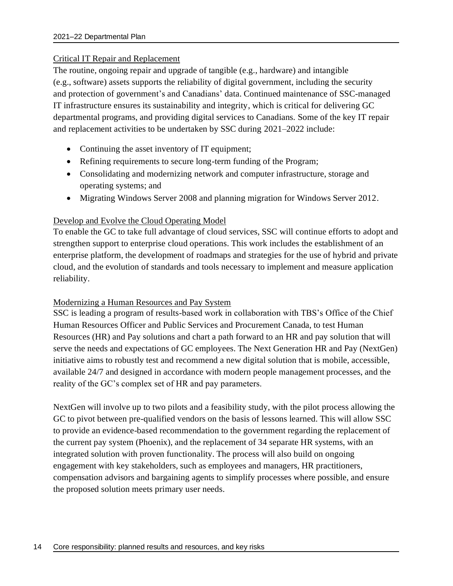## Critical IT Repair and Replacement

The routine, ongoing repair and upgrade of tangible (e.g., hardware) and intangible (e.g., software) assets supports the reliability of digital government, including the security and protection of government's and Canadians' data. Continued maintenance of SSC-managed IT infrastructure ensures its sustainability and integrity, which is critical for delivering GC departmental programs, and providing digital services to Canadians. Some of the key IT repair and replacement activities to be undertaken by SSC during 2021–2022 include:

- Continuing the asset inventory of IT equipment;
- Refining requirements to secure long-term funding of the Program;
- Consolidating and modernizing network and computer infrastructure, storage and operating systems; and
- Migrating Windows Server 2008 and planning migration for Windows Server 2012.

# Develop and Evolve the Cloud Operating Model

To enable the GC to take full advantage of cloud services, SSC will continue efforts to adopt and strengthen support to enterprise cloud operations. This work includes the establishment of an enterprise platform, the development of roadmaps and strategies for the use of hybrid and private cloud, and the evolution of standards and tools necessary to implement and measure application reliability.

## Modernizing a Human Resources and Pay System

SSC is leading a program of results-based work in collaboration with TBS's Office of the Chief Human Resources Officer and Public Services and Procurement Canada, to test Human Resources (HR) and Pay solutions and chart a path forward to an HR and pay solution that will serve the needs and expectations of GC employees. The Next Generation HR and Pay (NextGen) initiative aims to robustly test and recommend a new digital solution that is mobile, accessible, available 24/7 and designed in accordance with modern people management processes, and the reality of the GC's complex set of HR and pay parameters.

NextGen will involve up to two pilots and a feasibility study, with the pilot process allowing the GC to pivot between pre-qualified vendors on the basis of lessons learned. This will allow SSC to provide an evidence-based recommendation to the government regarding the replacement of the current pay system (Phoenix), and the replacement of 34 separate HR systems, with an integrated solution with proven functionality. The process will also build on ongoing engagement with key stakeholders, such as employees and managers, HR practitioners, compensation advisors and bargaining agents to simplify processes where possible, and ensure the proposed solution meets primary user needs.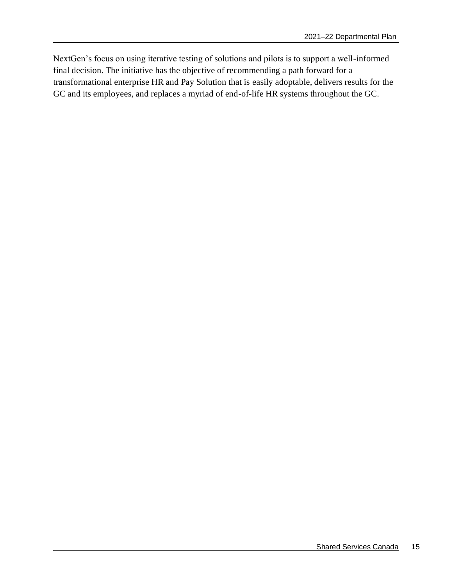NextGen's focus on using iterative testing of solutions and pilots is to support a well-informed final decision. The initiative has the objective of recommending a path forward for a transformational enterprise HR and Pay Solution that is easily adoptable, delivers results for the GC and its employees, and replaces a myriad of end-of-life HR systems throughout the GC.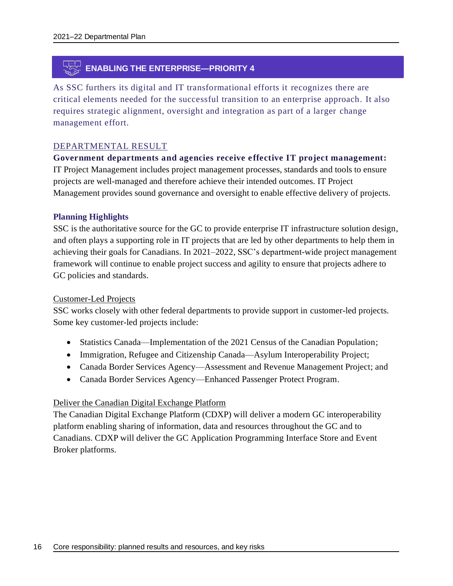# **ENABLING THE ENTERPRISE—PRIORITY 4**

As SSC furthers its digital and IT transformational efforts it recognizes there are critical elements needed for the successful transition to an enterprise approach. It also requires strategic alignment, oversight and integration as part of a larger change management effort.

#### DEPARTMENTAL RESULT

**Government departments and agencies receive e ffective IT project management:** IT Project Management includes project management processes, standards and tools to ensure projects are well-managed and therefore achieve their intended outcomes. IT Project Management provides sound governance and oversight to enable effective delivery of projects.

#### **Planning Highlights**

SSC is the authoritative source for the GC to provide enterprise IT infrastructure solution design, and often plays a supporting role in IT projects that are led by other departments to help them in achieving their goals for Canadians. In 2021–2022, SSC's department-wide project management framework will continue to enable project success and agility to ensure that projects adhere to GC policies and standards.

#### Customer-Led Projects

SSC works closely with other federal departments to provide support in customer-led projects. Some key customer-led projects include:

- Statistics Canada—Implementation of the 2021 Census of the Canadian Population;
- Immigration, Refugee and Citizenship Canada—Asylum Interoperability Project;
- Canada Border Services Agency—Assessment and Revenue Management Project; and
- Canada Border Services Agency—Enhanced Passenger Protect Program.

#### Deliver the Canadian Digital Exchange Platform

The Canadian Digital Exchange Platform (CDXP) will deliver a modern GC interoperability platform enabling sharing of information, data and resources throughout the GC and to Canadians. CDXP will deliver the GC Application Programming Interface Store and Event Broker platforms.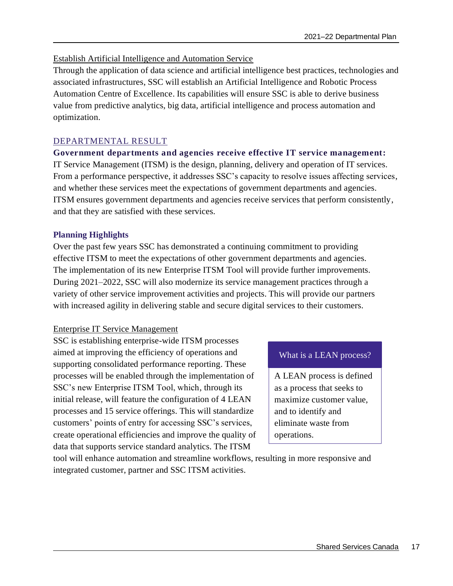# Establish Artificial Intelligence and Automation Service

Through the application of data science and artificial intelligence best practices, technologies and associated infrastructures, SSC will establish an Artificial Intelligence and Robotic Process Automation Centre of Excellence. Its capabilities will ensure SSC is able to derive business value from predictive analytics, big data, artificial intelligence and process automation and optimization.

# DEPARTMENTAL RESULT

# **Government departments and agencies receive effective IT service management:**

IT Service Management (ITSM) is the design, planning, delivery and operation of IT services. From a performance perspective, it addresses SSC's capacity to resolve issues affecting services, and whether these services meet the expectations of government departments and agencies. ITSM ensures government departments and agencies receive services that perform consistently, and that they are satisfied with these services.

## **Planning Highlights**

Over the past few years SSC has demonstrated a continuing commitment to providing effective ITSM to meet the expectations of other government departments and agencies. The implementation of its new Enterprise ITSM Tool will provide further improvements. During 2021–2022, SSC will also modernize its service management practices through a variety of other service improvement activities and projects. This will provide our partners with increased agility in delivering stable and secure digital services to their customers.

## Enterprise IT Service Management

SSC is establishing enterprise-wide ITSM processes aimed at improving the efficiency of operations and supporting consolidated performance reporting. These processes will be enabled through the implementation of SSC's new Enterprise ITSM Tool, which, through its initial release, will feature the configuration of 4 LEAN processes and 15 service offerings. This will standardize customers' points of entry for accessing SSC's services, create operational efficiencies and improve the quality of data that supports service standard analytics. The ITSM

## What is a LEAN process?

A LEAN process is defined as a process that seeks to maximize customer value, and to identify and eliminate waste from operations.

tool will enhance automation and streamline workflows, resulting in more responsive and integrated customer, partner and SSC ITSM activities.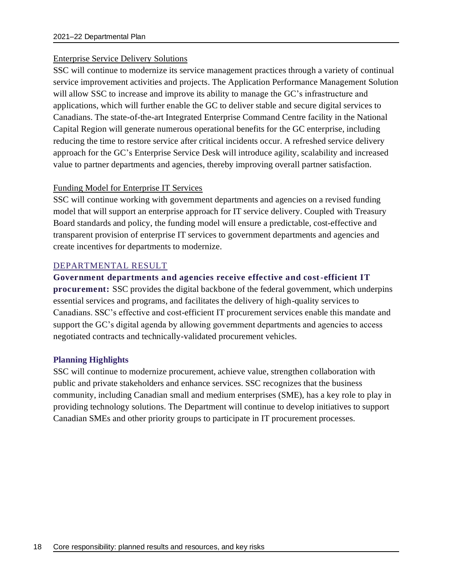#### Enterprise Service Delivery Solutions

SSC will continue to modernize its service management practices through a variety of continual service improvement activities and projects. The Application Performance Management Solution will allow SSC to increase and improve its ability to manage the GC's infrastructure and applications, which will further enable the GC to deliver stable and secure digital services to Canadians. The state-of-the-art Integrated Enterprise Command Centre facility in the National Capital Region will generate numerous operational benefits for the GC enterprise, including reducing the time to restore service after critical incidents occur. A refreshed service delivery approach for the GC's Enterprise Service Desk will introduce agility, scalability and increased value to partner departments and agencies, thereby improving overall partner satisfaction.

#### Funding Model for Enterprise IT Services

SSC will continue working with government departments and agencies on a revised funding model that will support an enterprise approach for IT service delivery. Coupled with Treasury Board standards and policy, the funding model will ensure a predictable, cost-effective and transparent provision of enterprise IT services to government departments and agencies and create incentives for departments to modernize.

## DEPARTMENTAL RESULT

#### **Government departments and agencies receive effective and cost-efficient IT**

**procurement:** SSC provides the digital backbone of the federal government, which underpins essential services and programs, and facilitates the delivery of high-quality services to Canadians. SSC's effective and cost-efficient IT procurement services enable this mandate and support the GC's digital agenda by allowing government departments and agencies to access negotiated contracts and technically-validated procurement vehicles.

#### **Planning Highlights**

SSC will continue to modernize procurement, achieve value, strengthen collaboration with public and private stakeholders and enhance services. SSC recognizes that the business community, including Canadian small and medium enterprises (SME), has a key role to play in providing technology solutions. The Department will continue to develop initiatives to support Canadian SMEs and other priority groups to participate in IT procurement processes.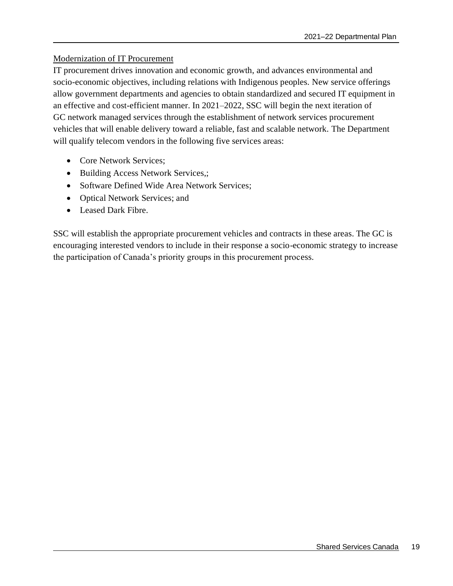## Modernization of IT Procurement

IT procurement drives innovation and economic growth, and advances environmental and socio-economic objectives, including relations with Indigenous peoples. New service offerings allow government departments and agencies to obtain standardized and secured IT equipment in an effective and cost-efficient manner. In 2021–2022, SSC will begin the next iteration of GC network managed services through the establishment of network services procurement vehicles that will enable delivery toward a reliable, fast and scalable network. The Department will qualify telecom vendors in the following five services areas:

- Core Network Services:
- Building Access Network Services,;
- Software Defined Wide Area Network Services;
- Optical Network Services; and
- Leased Dark Fibre.

SSC will establish the appropriate procurement vehicles and contracts in these areas. The GC is encouraging interested vendors to include in their response a socio-economic strategy to increase the participation of Canada's priority groups in this procurement process.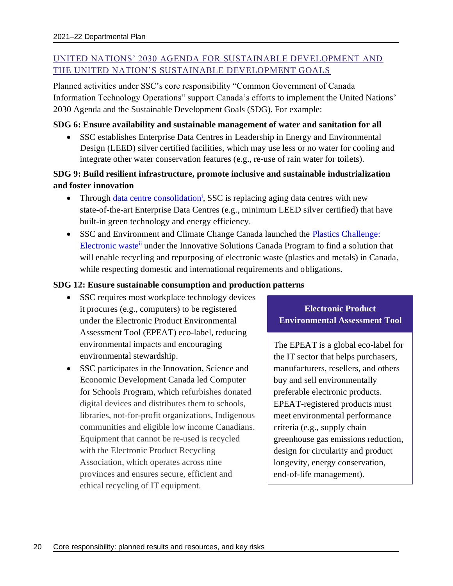# UNITED NATIONS' 2030 AGENDA FOR SUSTAINABLE DEVELOPMENT AND THE UNITED NATION'S SUSTAINABLE DEVELOPMENT GOALS

Planned activities under SSC's core responsibility "Common Government of Canada Information Technology Operations" support Canada's efforts to implement the United Nations' 2030 Agenda and the Sustainable Development Goals (SDG). For example:

#### **SDG 6: Ensure availability and sustainable management of water and sanitation for all**

• SSC establishes Enterprise Data Centres in Leadership in Energy and Environmental Design (LEED) silver certified facilities, which may use less or no water for cooling and integrate other water conservation features (e.g., re-use of rain water for toilets).

# **SDG 9: Build resilient infrastructure, promote inclusive and sustainable industrialization and foster innovation**

- Through [data centre consolidation](https://www.canada.ca/en/shared-services/corporate/data-centre-consolidation.html)<sup>i</sup>, SSC is replacing aging data centres with new state-of-the-art Enterprise Data Centres (e.g., minimum LEED silver certified) that have built-in green technology and energy efficiency.
- SSC and Environment and Climate Change Canada launched the Plastics Challenge: [Electronic waste](https://www.ic.gc.ca/eic/site/101.nsf/eng/00085.html)ii under the Innovative Solutions Canada Program to find a solution that will enable recycling and repurposing of electronic waste (plastics and metals) in Canada, while respecting domestic and international requirements and obligations.

## **SDG 12: Ensure sustainable consumption and production patterns**

- SSC requires most workplace technology devices it procures (e.g., computers) to be registered under the Electronic Product Environmental Assessment Tool (EPEAT) eco-label, reducing environmental impacts and encouraging environmental stewardship.
- SSC participates in the Innovation, Science and Economic Development Canada led Computer for Schools Program, which refurbishes donated digital devices and distributes them to schools, libraries, not-for-profit organizations, Indigenous communities and eligible low income Canadians. Equipment that cannot be re-used is recycled with the Electronic Product Recycling Association, which operates across nine provinces and ensures secure, efficient and ethical recycling of IT equipment.

# **Electronic Product Environmental Assessment Tool**

The EPEAT is a global eco-label for the IT sector that helps purchasers, manufacturers, resellers, and others buy and sell environmentally preferable electronic products. EPEAT-registered products must meet environmental performance criteria (e.g., supply chain greenhouse gas emissions reduction, design for circularity and product longevity, energy conservation, end-of-life management).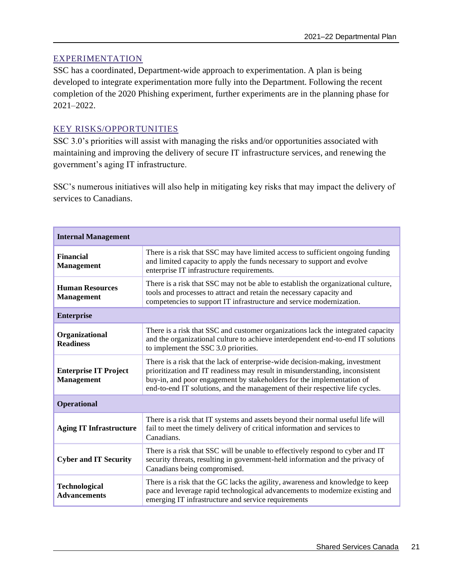## EXPERIMENTATION

SSC has a coordinated, Department-wide approach to experimentation. A plan is being developed to integrate experimentation more fully into the Department. Following the recent completion of the 2020 Phishing experiment, further experiments are in the planning phase for 2021–2022.

# KEY RISKS/OPPORTUNITIES

SSC 3.0's priorities will assist with managing the risks and/or opportunities associated with maintaining and improving the delivery of secure IT infrastructure services, and renewing the government's aging IT infrastructure.

SSC's numerous initiatives will also help in mitigating key risks that may impact the delivery of services to Canadians.

| <b>Internal Management</b>                        |                                                                                                                                                                                                                                                                                                                       |
|---------------------------------------------------|-----------------------------------------------------------------------------------------------------------------------------------------------------------------------------------------------------------------------------------------------------------------------------------------------------------------------|
| <b>Financial</b><br><b>Management</b>             | There is a risk that SSC may have limited access to sufficient ongoing funding<br>and limited capacity to apply the funds necessary to support and evolve<br>enterprise IT infrastructure requirements.                                                                                                               |
| <b>Human Resources</b><br><b>Management</b>       | There is a risk that SSC may not be able to establish the organizational culture,<br>tools and processes to attract and retain the necessary capacity and<br>competencies to support IT infrastructure and service modernization.                                                                                     |
| <b>Enterprise</b>                                 |                                                                                                                                                                                                                                                                                                                       |
| Organizational<br><b>Readiness</b>                | There is a risk that SSC and customer organizations lack the integrated capacity<br>and the organizational culture to achieve interdependent end-to-end IT solutions<br>to implement the SSC 3.0 priorities.                                                                                                          |
| <b>Enterprise IT Project</b><br><b>Management</b> | There is a risk that the lack of enterprise-wide decision-making, investment<br>prioritization and IT readiness may result in misunderstanding, inconsistent<br>buy-in, and poor engagement by stakeholders for the implementation of<br>end-to-end IT solutions, and the management of their respective life cycles. |
| <b>Operational</b>                                |                                                                                                                                                                                                                                                                                                                       |
| <b>Aging IT Infrastructure</b>                    | There is a risk that IT systems and assets beyond their normal useful life will<br>fail to meet the timely delivery of critical information and services to<br>Canadians.                                                                                                                                             |
| <b>Cyber and IT Security</b>                      | There is a risk that SSC will be unable to effectively respond to cyber and IT<br>security threats, resulting in government-held information and the privacy of<br>Canadians being compromised.                                                                                                                       |
| <b>Technological</b><br><b>Advancements</b>       | There is a risk that the GC lacks the agility, awareness and knowledge to keep<br>pace and leverage rapid technological advancements to modernize existing and<br>emerging IT infrastructure and service requirements                                                                                                 |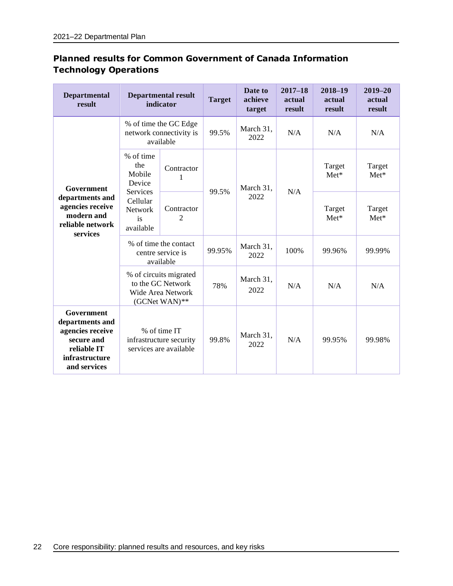| <b>Departmental</b><br>result                                                                                    | <b>Departmental result</b><br>indicator                                                  |                                                               | <b>Target</b> | Date to<br>achieve<br>target | $2017 - 18$<br>actual<br>result | 2018-19<br>actual<br>result | $2019 - 20$<br>actual<br>result |
|------------------------------------------------------------------------------------------------------------------|------------------------------------------------------------------------------------------|---------------------------------------------------------------|---------------|------------------------------|---------------------------------|-----------------------------|---------------------------------|
| Government<br>departments and<br>agencies receive<br>modern and<br>reliable network<br>services                  |                                                                                          | % of time the GC Edge<br>network connectivity is<br>available | 99.5%         | March 31,<br>2022            | N/A                             | N/A                         | N/A                             |
|                                                                                                                  | % of time<br>the<br>Mobile<br>Device                                                     | Contractor<br>1                                               |               | March 31,<br>2022            | N/A                             | Target<br>$Met*$            | Target<br>$Met^*$               |
|                                                                                                                  | Services<br>Cellular<br><b>Network</b><br>is<br>available                                | Contractor<br>$\overline{c}$                                  | 99.5%         |                              |                                 | Target<br>$Met*$            | Target<br>$Met*$                |
|                                                                                                                  | % of time the contact<br>centre service is<br>available                                  |                                                               | 99.95%        | March 31,<br>2022            | 100%                            | 99.96%                      | 99.99%                          |
|                                                                                                                  | % of circuits migrated<br>to the GC Network<br><b>Wide Area Network</b><br>(GCNet WAN)** |                                                               | 78%           | March 31,<br>2022            | N/A                             | N/A                         | N/A                             |
| Government<br>departments and<br>agencies receive<br>secure and<br>reliable IT<br>infrastructure<br>and services | % of time IT<br>infrastructure security<br>services are available                        |                                                               | 99.8%         | March 31,<br>2022            | N/A                             | 99.95%                      | 99.98%                          |

# **Planned results for Common Government of Canada Information Technology Operations**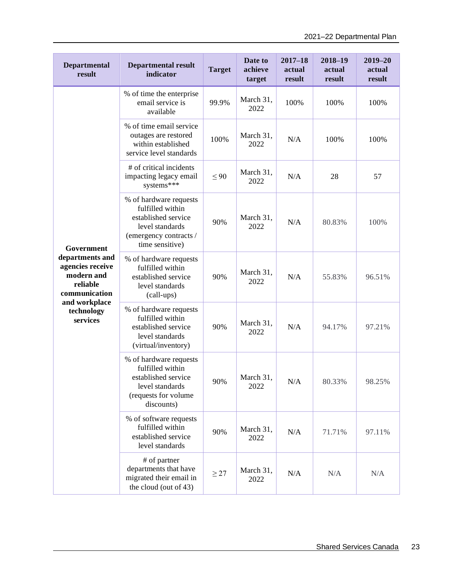| <b>Departmental</b><br>result                                                  | <b>Departmental result</b><br>indicator                                                                                           | <b>Target</b>     | Date to<br>achieve<br>target | $2017 - 18$<br>actual<br>result | $2018 - 19$<br>actual<br>result | $2019 - 20$<br>actual<br>result |
|--------------------------------------------------------------------------------|-----------------------------------------------------------------------------------------------------------------------------------|-------------------|------------------------------|---------------------------------|---------------------------------|---------------------------------|
|                                                                                | % of time the enterprise<br>email service is<br>available                                                                         | 99.9%             | March 31,<br>2022            | 100%                            | 100%                            | 100%                            |
|                                                                                | % of time email service<br>outages are restored<br>within established<br>service level standards                                  | 100%              | March 31,<br>2022            | N/A                             | 100%                            | 100%                            |
|                                                                                | # of critical incidents<br>impacting legacy email<br>systems***                                                                   | $\leq 90$         | March 31,<br>2022            | N/A                             | 28                              | 57                              |
| Government                                                                     | % of hardware requests<br>fulfilled within<br>established service<br>level standards<br>(emergency contracts /<br>time sensitive) | 90%               | March 31,<br>2022            | N/A                             | 80.83%                          | 100%                            |
| departments and<br>agencies receive<br>modern and<br>reliable<br>communication | % of hardware requests<br>fulfilled within<br>established service<br>level standards<br>(call-ups)                                | 90%               | March 31,<br>2022            | N/A                             | 55.83%                          | 96.51%                          |
| and workplace<br>technology<br>services                                        | % of hardware requests<br>fulfilled within<br>established service<br>90%<br>level standards<br>(virtual/inventory)                | March 31,<br>2022 | N/A                          | 94.17%                          | 97.21%                          |                                 |
|                                                                                | % of hardware requests<br>fulfilled within<br>established service<br>level standards<br>(requests for volume<br>discounts)        | 90%               | March 31,<br>2022            | N/A                             | 80.33%                          | 98.25%                          |
|                                                                                | % of software requests<br>fulfilled within<br>established service<br>level standards                                              | 90%               | March 31,<br>2022            | N/A                             | 71.71%                          | 97.11%                          |
|                                                                                | # of partner<br>departments that have<br>migrated their email in<br>the cloud (out of 43)                                         | $\geq$ 27         | March 31,<br>2022            | N/A                             | N/A                             | N/A                             |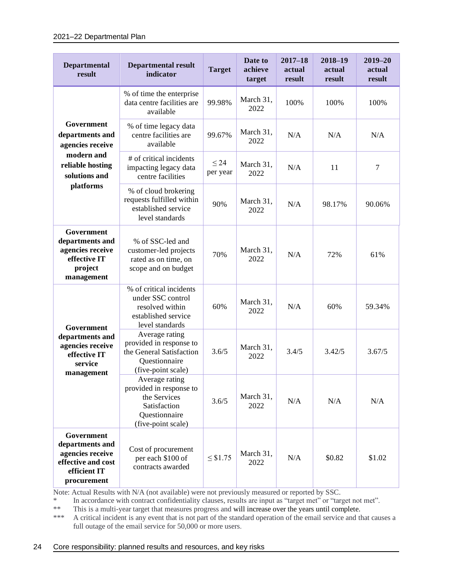#### 2021–22 Departmental Plan

| <b>Departmental</b><br>result                                                                          | <b>Departmental result</b><br>indicator                                                                          | <b>Target</b>         | Date to<br>achieve<br>target | $2017 - 18$<br>actual<br>result | $2018 - 19$<br>actual<br>result | $2019 - 20$<br>actual<br>result |
|--------------------------------------------------------------------------------------------------------|------------------------------------------------------------------------------------------------------------------|-----------------------|------------------------------|---------------------------------|---------------------------------|---------------------------------|
|                                                                                                        | % of time the enterprise<br>data centre facilities are<br>available                                              | 99.98%                | March 31,<br>2022            | 100%                            | 100%                            | 100%                            |
| Government<br>departments and<br>agencies receive                                                      | % of time legacy data<br>centre facilities are<br>available                                                      | 99.67%                | March 31,<br>2022            | N/A                             | N/A                             | N/A                             |
| modern and<br>reliable hosting<br>solutions and                                                        | # of critical incidents<br>impacting legacy data<br>centre facilities                                            | $\leq$ 24<br>per year | March 31,<br>2022            | N/A                             | 11                              | 7                               |
| platforms                                                                                              | % of cloud brokering<br>requests fulfilled within<br>established service<br>level standards                      | 90%                   | March 31,<br>2022            | N/A                             | 98.17%                          | 90.06%                          |
| Government<br>departments and<br>agencies receive<br>effective IT<br>project<br>management             | % of SSC-led and<br>customer-led projects<br>rated as on time, on<br>scope and on budget                         | 70%                   | March 31,<br>2022            | N/A                             | 72%                             | 61%                             |
| Government<br>departments and<br>agencies receive<br>effective IT<br>service<br>management             | % of critical incidents<br>under SSC control<br>resolved within<br>established service<br>level standards        | 60%                   | March 31,<br>2022            | N/A                             | 60%                             | 59.34%                          |
|                                                                                                        | Average rating<br>provided in response to<br>the General Satisfaction<br>Questionnaire<br>(five-point scale)     | 3.6/5                 | March 31,<br>2022            | 3.4/5                           | 3.42/5                          | 3.67/5                          |
|                                                                                                        | Average rating<br>provided in response to<br>the Services<br>Satisfaction<br>Questionnaire<br>(five-point scale) | 3.6/5                 | March 31,<br>2022            | N/A                             | N/A                             | N/A                             |
| Government<br>departments and<br>agencies receive<br>effective and cost<br>efficient IT<br>procurement | Cost of procurement<br>per each \$100 of<br>contracts awarded                                                    | $\leq$ \$1.75         | March 31,<br>2022            | N/A                             | \$0.82                          | \$1.02                          |

Note: Actual Results with N/A (not available) were not previously measured or reported by SSC.

\* In accordance with contract confidentiality clauses, results are input as "target met" or "target not met".<br>\*\* This is a multi-vear target that measures progress and will increase over the vears until complete

\*\* This is a multi-year target that measures progress and will increase over the years until complete.<br>\*\*\* A critical incident is any event that is not part of the standard operation of the email service and the

A critical incident is any event that is not part of the standard operation of the email service and that causes a full outage of the email service for 50,000 or more users.

#### 24 Core responsibility: planned results and resources, and key risks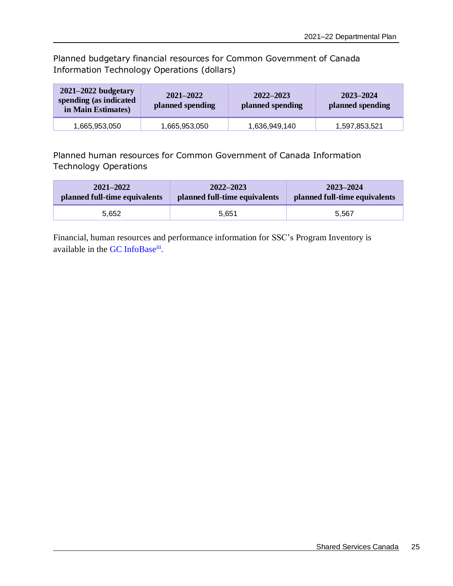Planned budgetary financial resources for Common Government of Canada Information Technology Operations (dollars)

| $2021 - 2022$ budgetary<br>spending (as indicated<br>in Main Estimates) | $2021 - 2022$<br>planned spending | 2022–2023<br>planned spending | 2023-2024<br>planned spending |
|-------------------------------------------------------------------------|-----------------------------------|-------------------------------|-------------------------------|
| 1,665,953,050                                                           | 1,665,953,050                     | 1,636,949,140                 | 1,597,853,521                 |

Planned human resources for Common Government of Canada Information Technology Operations

| $2021 - 2022$                 | $2022 - 2023$                 | 2023-2024                     |
|-------------------------------|-------------------------------|-------------------------------|
| planned full-time equivalents | planned full-time equivalents | planned full-time equivalents |
| 5.652                         | 5.651                         | 5.567                         |

Financial, human resources and performance information for SSC's Program Inventory is available in the [GC InfoBase](https://www.tbs-sct.gc.ca/ems-sgd/edb-bdd/index-eng.html#orgs/dept/305/infograph/intro)<sup>iii</sup>.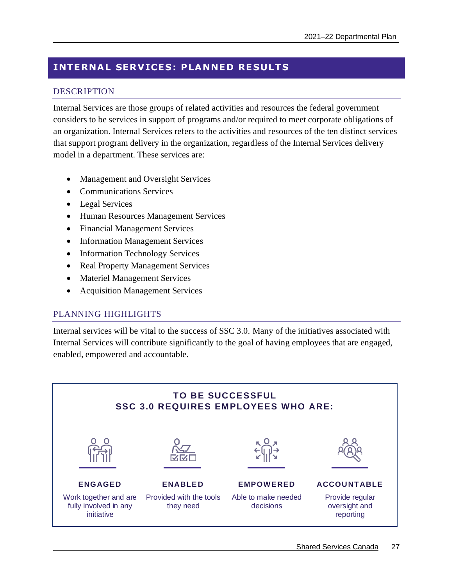# <span id="page-30-0"></span>**INTERNAL SERVICES: PLANNED RESULTS**

# DESCRIPTION

Internal Services are those groups of related activities and resources the federal government considers to be services in support of programs and/or required to meet corporate obligations of an organization. Internal Services refers to the activities and resources of the ten distinct services that support program delivery in the organization, regardless of the Internal Services delivery model in a department. These services are:

- Management and Oversight Services
- Communications Services
- Legal Services
- Human Resources Management Services
- Financial Management Services
- Information Management Services
- Information Technology Services
- Real Property Management Services
- Materiel Management Services
- Acquisition Management Services

## PLANNING HIGHLIGHTS

Internal services will be vital to the success of SSC 3.0. Many of the initiatives associated with Internal Services will contribute significantly to the goal of having employees that are engaged, enabled, empowered and accountable.

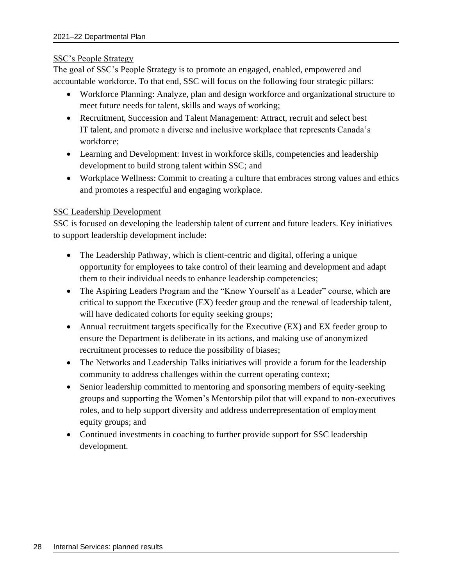#### SSC's People Strategy

The goal of SSC's People Strategy is to promote an engaged, enabled, empowered and accountable workforce. To that end, SSC will focus on the following four strategic pillars:

- Workforce Planning: Analyze, plan and design workforce and organizational structure to meet future needs for talent, skills and ways of working;
- Recruitment, Succession and Talent Management: Attract, recruit and select best IT talent, and promote a diverse and inclusive workplace that represents Canada's workforce;
- Learning and Development: Invest in workforce skills, competencies and leadership development to build strong talent within SSC; and
- Workplace Wellness: Commit to creating a culture that embraces strong values and ethics and promotes a respectful and engaging workplace.

## SSC Leadership Development

SSC is focused on developing the leadership talent of current and future leaders. Key initiatives to support leadership development include:

- The Leadership Pathway, which is client-centric and digital, offering a unique opportunity for employees to take control of their learning and development and adapt them to their individual needs to enhance leadership competencies;
- The Aspiring Leaders Program and the "Know Yourself as a Leader" course, which are critical to support the Executive (EX) feeder group and the renewal of leadership talent, will have dedicated cohorts for equity seeking groups;
- Annual recruitment targets specifically for the Executive (EX) and EX feeder group to ensure the Department is deliberate in its actions, and making use of anonymized recruitment processes to reduce the possibility of biases;
- The Networks and Leadership Talks initiatives will provide a forum for the leadership community to address challenges within the current operating context;
- Senior leadership committed to mentoring and sponsoring members of equity-seeking groups and supporting the Women's Mentorship pilot that will expand to non-executives roles, and to help support diversity and address underrepresentation of employment equity groups; and
- Continued investments in coaching to further provide support for SSC leadership development.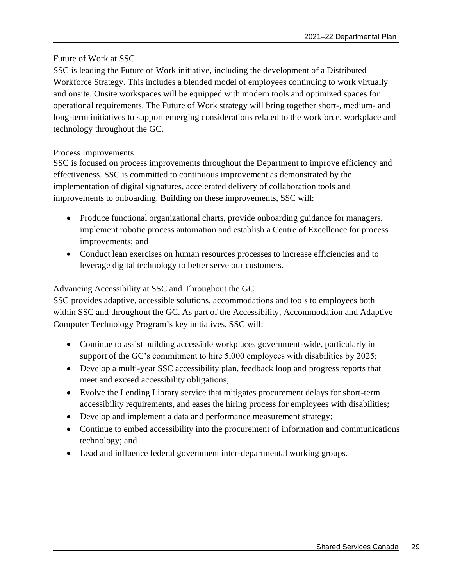#### Future of Work at SSC

SSC is leading the Future of Work initiative, including the development of a Distributed Workforce Strategy. This includes a blended model of employees continuing to work virtually and onsite. Onsite workspaces will be equipped with modern tools and optimized spaces for operational requirements. The Future of Work strategy will bring together short-, medium- and long-term initiatives to support emerging considerations related to the workforce, workplace and technology throughout the GC.

#### Process Improvements

SSC is focused on process improvements throughout the Department to improve efficiency and effectiveness. SSC is committed to continuous improvement as demonstrated by the implementation of digital signatures, accelerated delivery of collaboration tools and improvements to onboarding. Building on these improvements, SSC will:

- Produce functional organizational charts, provide onboarding guidance for managers, implement robotic process automation and establish a Centre of Excellence for process improvements; and
- Conduct lean exercises on human resources processes to increase efficiencies and to leverage digital technology to better serve our customers.

## Advancing Accessibility at SSC and Throughout the GC

SSC provides adaptive, accessible solutions, accommodations and tools to employees both within SSC and throughout the GC. As part of the Accessibility, Accommodation and Adaptive Computer Technology Program's key initiatives, SSC will:

- Continue to assist building accessible workplaces government-wide, particularly in support of the GC's commitment to hire 5,000 employees with disabilities by 2025;
- Develop a multi-year SSC accessibility plan, feedback loop and progress reports that meet and exceed accessibility obligations;
- Evolve the Lending Library service that mitigates procurement delays for short-term accessibility requirements, and eases the hiring process for employees with disabilities;
- Develop and implement a data and performance measurement strategy;
- Continue to embed accessibility into the procurement of information and communications technology; and
- Lead and influence federal government inter-departmental working groups.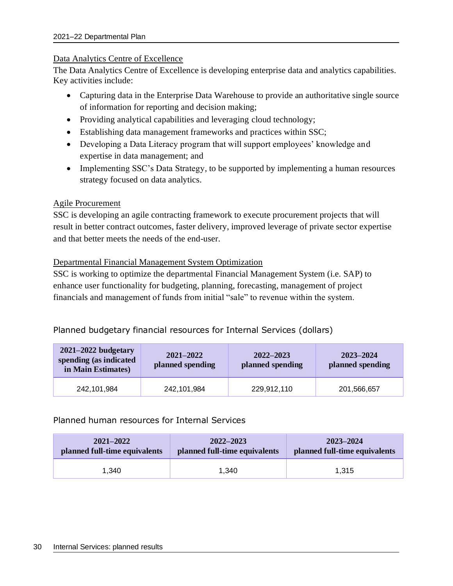#### Data Analytics Centre of Excellence

The Data Analytics Centre of Excellence is developing enterprise data and analytics capabilities. Key activities include:

- Capturing data in the Enterprise Data Warehouse to provide an authoritative single source of information for reporting and decision making;
- Providing analytical capabilities and leveraging cloud technology;
- Establishing data management frameworks and practices within SSC;
- Developing a Data Literacy program that will support employees' knowledge and expertise in data management; and
- Implementing SSC's Data Strategy, to be supported by implementing a human resources strategy focused on data analytics.

## Agile Procurement

SSC is developing an agile contracting framework to execute procurement projects that will result in better contract outcomes, faster delivery, improved leverage of private sector expertise and that better meets the needs of the end-user.

#### Departmental Financial Management System Optimization

SSC is working to optimize the departmental Financial Management System (i.e. SAP) to enhance user functionality for budgeting, planning, forecasting, management of project financials and management of funds from initial "sale" to revenue within the system.

## Planned budgetary financial resources for Internal Services (dollars)

| $2021 - 2022$ budgetary<br>spending (as indicated<br>in Main Estimates) | $2021 - 2022$<br>planned spending | $2022 - 2023$<br>planned spending | 2023-2024<br>planned spending |
|-------------------------------------------------------------------------|-----------------------------------|-----------------------------------|-------------------------------|
| 242,101,984                                                             | 242,101,984                       | 229,912,110                       | 201,566,657                   |

## Planned human resources for Internal Services

| $2021 - 2022$                 | $2022 - 2023$                 | 2023-2024                     |
|-------------------------------|-------------------------------|-------------------------------|
| planned full-time equivalents | planned full-time equivalents | planned full-time equivalents |
| 1.340                         | 1.340                         | 1.315                         |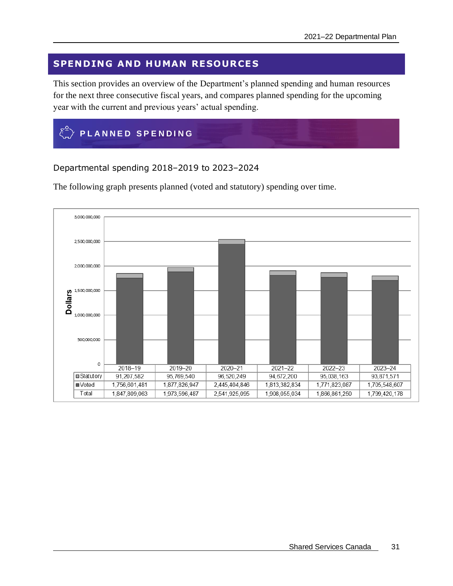# <span id="page-34-0"></span>**SPENDING AND HUMAN RESOURCES**

This section provides an overview of the Department's planned spending and human resources for the next three consecutive fiscal years, and compares planned spending for the upcoming year with the current and previous years' actual spending.

<span id="page-34-1"></span>

Departmental spending 2018–2019 to 2023–2024

The following graph presents planned (voted and statutory) spending over time.

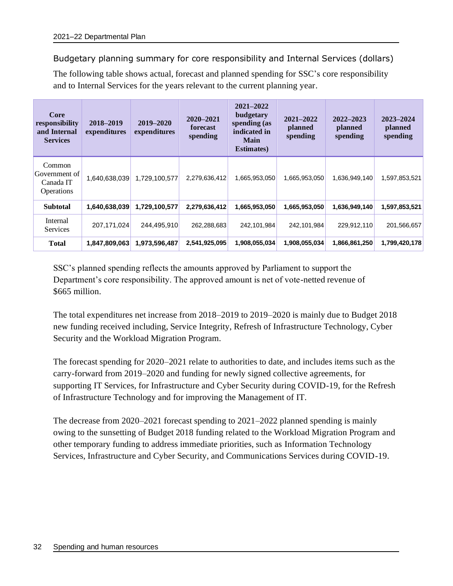# Budgetary planning summary for core responsibility and Internal Services (dollars)

The following table shows actual, forecast and planned spending for SSC's core responsibility and to Internal Services for the years relevant to the current planning year.

| <b>Core</b><br>responsibility<br>and Internal<br><b>Services</b> | 2018-2019<br>expenditures | 2019-2020<br>expenditures | 2020-2021<br>forecast<br>spending | 2021-2022<br>budgetary<br>spending (as<br>indicated in<br><b>Main</b><br><b>Estimates</b> ) | 2021-2022<br>planned<br>spending | $2022 - 2023$<br>planned<br>spending | 2023-2024<br><b>planned</b><br>spending |
|------------------------------------------------------------------|---------------------------|---------------------------|-----------------------------------|---------------------------------------------------------------------------------------------|----------------------------------|--------------------------------------|-----------------------------------------|
| Common<br>Government of<br>Canada IT<br><i><b>Operations</b></i> | 1,640,638,039             | 1,729,100,577             | 2,279,636,412                     | 1,665,953,050                                                                               | 1,665,953,050                    | 1,636,949,140                        | 1,597,853,521                           |
| <b>Subtotal</b>                                                  | 1,640,638,039             | 1,729,100,577             | 2,279,636,412                     | 1,665,953,050                                                                               | 1,665,953,050                    | 1,636,949,140                        | 1,597,853,521                           |
| Internal<br>Services                                             | 207,171,024               | 244,495,910               | 262,288,683                       | 242,101,984                                                                                 | 242,101,984                      | 229,912,110                          | 201,566,657                             |
| <b>Total</b>                                                     | 1,847,809,063             | 1,973,596,487             | 2,541,925,095                     | 1,908,055,034                                                                               | 1,908,055,034                    | 1,866,861,250                        | 1,799,420,178                           |

SSC's planned spending reflects the amounts approved by Parliament to support the Department's core responsibility. The approved amount is net of vote-netted revenue of \$665 million.

The total expenditures net increase from 2018–2019 to 2019–2020 is mainly due to Budget 2018 new funding received including, Service Integrity, Refresh of Infrastructure Technology, Cyber Security and the Workload Migration Program.

The forecast spending for 2020–2021 relate to authorities to date, and includes items such as the carry-forward from 2019–2020 and funding for newly signed collective agreements, for supporting IT Services, for Infrastructure and Cyber Security during COVID-19, for the Refresh of Infrastructure Technology and for improving the Management of IT.

The decrease from 2020–2021 forecast spending to 2021–2022 planned spending is mainly owing to the sunsetting of Budget 2018 funding related to the Workload Migration Program and other temporary funding to address immediate priorities, such as Information Technology Services, Infrastructure and Cyber Security, and Communications Services during COVID-19.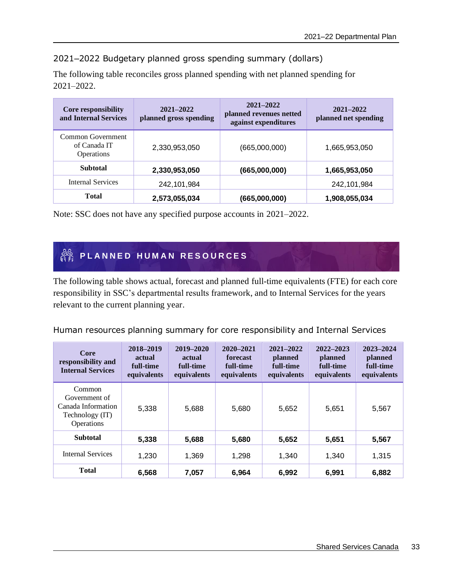# 2021–2022 Budgetary planned gross spending summary (dollars)

The following table reconciles gross planned spending with net planned spending for 2021–2022.

| <b>Core responsibility</b><br>and Internal Services    | $2021 - 2022$<br>planned gross spending | $2021 - 2022$<br>planned revenues netted<br>against expenditures | 2021-2022<br>planned net spending |
|--------------------------------------------------------|-----------------------------------------|------------------------------------------------------------------|-----------------------------------|
| Common Government<br>of Canada IT<br><b>Operations</b> | 2,330,953,050                           | (665,000,000)                                                    | 1,665,953,050                     |
| <b>Subtotal</b>                                        | 2,330,953,050                           | (665,000,000)                                                    | 1,665,953,050                     |
| <b>Internal Services</b>                               | 242,101,984                             |                                                                  | 242,101,984                       |
| <b>Total</b>                                           | 2,573,055,034                           | (665,000,000)                                                    | 1,908,055,034                     |

Note: SSC does not have any specified purpose accounts in 2021–2022.

# <span id="page-36-0"></span>**PLANNED HUMAN RESOURCES**

The following table shows actual, forecast and planned full-time equivalents (FTE) for each core responsibility in SSC's departmental results framework, and to Internal Services for the years relevant to the current planning year.

Human resources planning summary for core responsibility and Internal Services

| Core<br>responsibility and<br><b>Internal Services</b>                         | 2018-2019<br>actual<br>full-time<br>equivalents | $2019 - 2020$<br>actual<br>full-time<br>equivalents | $2020 - 2021$<br>forecast<br>full-time<br>equivalents | $2021 - 2022$<br>planned<br>full-time<br>equivalents | $2022 - 2023$<br>planned<br>full-time<br>equivalents | 2023-2024<br>planned<br>full-time<br>equivalents |
|--------------------------------------------------------------------------------|-------------------------------------------------|-----------------------------------------------------|-------------------------------------------------------|------------------------------------------------------|------------------------------------------------------|--------------------------------------------------|
| Common<br>Government of<br>Canada Information<br>Technology (IT)<br>Operations | 5,338                                           | 5,688                                               | 5,680                                                 | 5,652                                                | 5,651                                                | 5,567                                            |
| <b>Subtotal</b>                                                                | 5,338                                           | 5,688                                               | 5,680                                                 | 5,652                                                | 5,651                                                | 5,567                                            |
| <b>Internal Services</b>                                                       | 1,230                                           | 1,369                                               | 1,298                                                 | 1,340                                                | 1,340                                                | 1,315                                            |
| <b>Total</b>                                                                   | 6,568                                           | 7,057                                               | 6,964                                                 | 6,992                                                | 6,991                                                | 6,882                                            |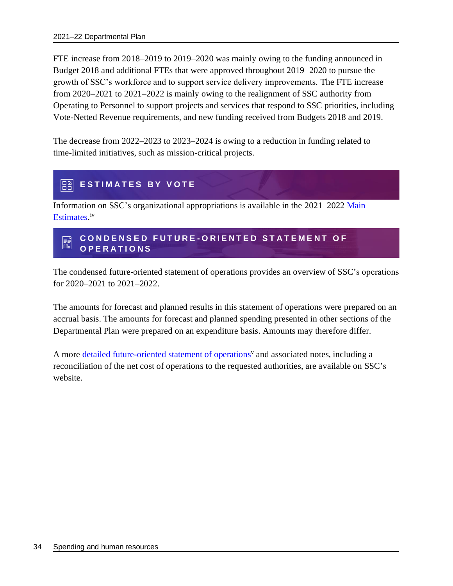FTE increase from 2018–2019 to 2019–2020 was mainly owing to the funding announced in Budget 2018 and additional FTEs that were approved throughout 2019–2020 to pursue the growth of SSC's workforce and to support service delivery improvements. The FTE increase from 2020–2021 to 2021–2022 is mainly owing to the realignment of SSC authority from Operating to Personnel to support projects and services that respond to SSC priorities, including Vote-Netted Revenue requirements, and new funding received from Budgets 2018 and 2019.

The decrease from 2022–2023 to 2023–2024 is owing to a reduction in funding related to time-limited initiatives, such as mission-critical projects.

#### <span id="page-37-0"></span>**88 ESTIMATES BY VOTE**

Information on SSC's organizational appropriations is available in the [2021–2022](http://www.tbs-sct.gc.ca/hgw-cgf/finances/pgs-pdg/gepme-pdgbpd/index-eng.asp) Main [Estimates](http://www.tbs-sct.gc.ca/hgw-cgf/finances/pgs-pdg/gepme-pdgbpd/index-eng.asp)[.](http://www.tpsgc-pwgsc.gc.ca/recgen/cpc-pac/index-eng.html) iv

#### <span id="page-37-1"></span>**C O N D E N S E D F U T U R E - O R I E N T E D S T A T E M E N T O F**  請 **O P E R A T I O N S**

The condensed future-oriented statement of operations provides an overview of SSC's operations for 2020–2021 to 2021–2022.

The amounts for forecast and planned results in this statement of operations were prepared on an accrual basis. The amounts for forecast and planned spending presented in other sections of the Departmental Plan were prepared on an expenditure basis. Amounts may therefore differ.

A more [detailed future-oriented statement of operations](https://www.canada.ca/en/shared-services/corporate/publications/future-oriented-statement-operations-2021-22.html)<sup>v</sup> and associated notes, including a reconciliation of the net cost of operations to the requested authorities, are available on SSC's website.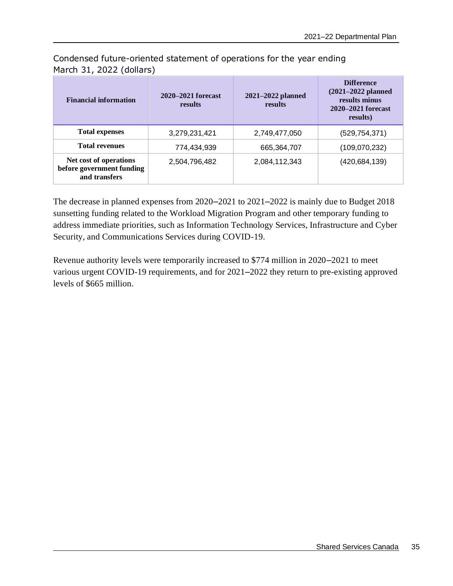| <b>Financial information</b>                                         | 2020–2021 forecast<br>results | 2021-2022 planned<br>results | <b>Difference</b><br>$(2021 - 2022$ planned<br>results minus<br>2020–2021 forecast<br>results) |  |
|----------------------------------------------------------------------|-------------------------------|------------------------------|------------------------------------------------------------------------------------------------|--|
| <b>Total expenses</b>                                                | 3,279,231,421                 | 2,749,477,050                | (529, 754, 371)                                                                                |  |
| <b>Total revenues</b>                                                | 774,434,939                   | 665,364,707                  | (109,070,232)                                                                                  |  |
| Net cost of operations<br>before government funding<br>and transfers | 2,504,796,482                 | 2,084,112,343                | (420, 684, 139)                                                                                |  |

Condensed future-oriented statement of operations for the year ending March 31, 2022 (dollars)

The decrease in planned expenses from 2020–2021 to 2021–2022 is mainly due to Budget 2018 sunsetting funding related to the Workload Migration Program and other temporary funding to address immediate priorities, such as Information Technology Services, Infrastructure and Cyber Security, and Communications Services during COVID-19.

Revenue authority levels were temporarily increased to \$774 million in 2020–2021 to meet various urgent COVID-19 requirements, and for 2021–2022 they return to pre-existing approved levels of \$665 million.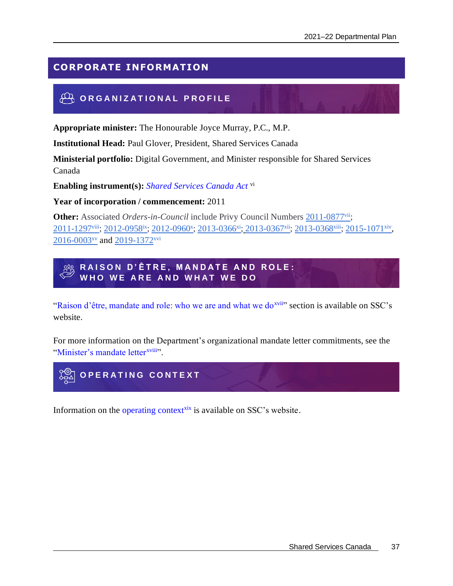# <span id="page-40-0"></span>**CORPORATE INFORMATION**

# <span id="page-40-1"></span>**OR GANIZATIONAL PROFILE**

**Appropriate minister:** The Honourable Joyce Murray, P.C., M.P.

**Institutional Head:** Paul Glover, President, Shared Services Canada

**Ministerial portfolio:** Digital Government, and Minister responsible for Shared Services Canada

**Enabling instrument(s):** *[Shared Services Canada Act](http://laws-lois.justice.gc.ca/eng/acts/S-8.9/)* vi

**Year of incorporation / commencement:** 2011

**Other:** Associated *Orders-in-Council* include Privy Council Numbers [2011-0877](https://orders-in-council.canada.ca/attachment.php?attach=24554&lang=en)vii; [2011-1297](https://orders-in-council.canada.ca/attachment.php?attach=24978&lang=en)<sup>viii</sup>; [2012-0958](https://orders-in-council.canada.ca/attachment.php?attach=26384&lang=en)<sup>ix</sup>; [2012-0960](https://orders-in-council.canada.ca/attachment.php?attach=26386&lang=en)<sup>x</sup>; [2013-0366](https://orders-in-council.canada.ca/attachment.php?attach=27572&lang=en)<sup>xi</sup>; [2013-0367](https://orders-in-council.canada.ca/attachment.php?attach=27596&lang=en)<sup>xii</sup>; [2013-0368](https://orders-in-council.canada.ca/attachment.php?attach=27597&lang=en)<sup>xiii</sup>; [2015-1071](https://orders-in-council.canada.ca/attachment.php?attach=31527&lang=en)<sup>xiv</sup>, [2016-0003](https://orders-in-council.canada.ca/attachment.php?attach=31674&lang=en)<sup>xv</sup> and [2019-1372](https://orders-in-council.canada.ca/attachment.php?attach=38707&lang=en)<sup>xvi</sup>

<span id="page-40-2"></span>**R A I S O N D ' Ê T R E , M A N D A T E A N D R O L E :** WHO WE ARE AND WHAT WE DO

["Raison d'être, mandate and role: who we are and what we do](https://www.canada.ca/en/shared-services/corporate/publications/2021-22-departmental-plan/raison-etre-mandate-role.html)<sup>xvii</sup>" section is available on SSC's website.

For more information on the Department's organizational mandate letter commitments, see the ["Minister's mandate letter](https://pm.gc.ca/en/mandate-letters/minister-digital-government-mandate-letter)<sup>xviii</sup>".

<span id="page-40-3"></span>

Information on the [operating context](https://www.canada.ca/en/shared-services/corporate/publications/2021-22-departmental-plan/operating-context-2021-22.html)<sup>xix</sup> is available on SSC's website.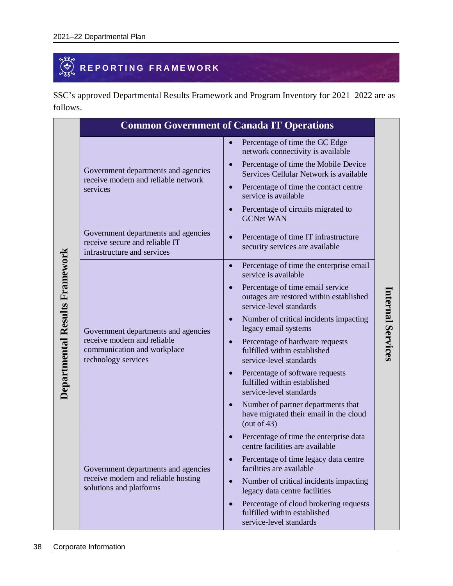# <span id="page-41-0"></span>**REPORTING FRAMEWORK**

SSC's approved Departmental Results Framework and Program Inventory for 2021–2022 are as follows.

|                                                                                                      | Percentage of time the GC Edge<br>$\bullet$<br>network connectivity is available                                                                                                                                                                 |
|------------------------------------------------------------------------------------------------------|--------------------------------------------------------------------------------------------------------------------------------------------------------------------------------------------------------------------------------------------------|
| Government departments and agencies<br>receive modern and reliable network<br>services               | Percentage of time the Mobile Device<br>$\bullet$<br>Services Cellular Network is available<br>Percentage of time the contact centre<br>$\bullet$<br>service is available<br>Percentage of circuits migrated to<br>$\bullet$<br><b>GCNet WAN</b> |
| Government departments and agencies<br>receive secure and reliable IT<br>infrastructure and services | Percentage of time IT infrastructure<br>$\bullet$<br>security services are available                                                                                                                                                             |
|                                                                                                      | Percentage of time the enterprise email<br>$\bullet$<br>service is available                                                                                                                                                                     |
|                                                                                                      | Percentage of time email service<br>$\bullet$<br>outages are restored within established<br>service-level standards                                                                                                                              |
| Government departments and agencies                                                                  | Number of critical incidents impacting<br>$\bullet$<br>legacy email systems                                                                                                                                                                      |
| receive modern and reliable<br>communication and workplace<br>technology services                    | Percentage of hardware requests<br>$\bullet$<br>fulfilled within established<br>service-level standards                                                                                                                                          |
|                                                                                                      | Percentage of software requests<br>$\bullet$<br>fulfilled within established<br>service-level standards                                                                                                                                          |
|                                                                                                      | Number of partner departments that<br>$\bullet$<br>have migrated their email in the cloud<br>(out of $43$ )                                                                                                                                      |
|                                                                                                      | Percentage of time the enterprise data<br>$\bullet$<br>centre facilities are available                                                                                                                                                           |
| Government departments and agencies                                                                  | Percentage of time legacy data centre<br>$\bullet$<br>facilities are available                                                                                                                                                                   |
| receive modern and reliable hosting<br>solutions and platforms                                       | Number of critical incidents impacting<br>$\bullet$<br>legacy data centre facilities                                                                                                                                                             |
|                                                                                                      | Percentage of cloud brokering requests<br>$\bullet$<br>fulfilled within established<br>service-level standards                                                                                                                                   |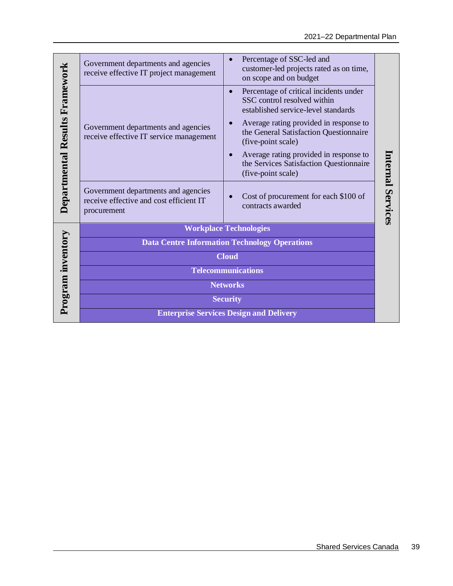|                                | Government departments and agencies                                                           | Percentage of SSC-led and<br>customer-led projects rated as on time,                                                      |                  |  |
|--------------------------------|-----------------------------------------------------------------------------------------------|---------------------------------------------------------------------------------------------------------------------------|------------------|--|
|                                | receive effective IT project management                                                       | on scope and on budget                                                                                                    |                  |  |
| Departmental Results Framework |                                                                                               | Percentage of critical incidents under<br>$\bullet$<br>SSC control resolved within<br>established service-level standards |                  |  |
|                                | Government departments and agencies<br>receive effective IT service management                | Average rating provided in response to<br>the General Satisfaction Questionnaire<br>(five-point scale)                    |                  |  |
|                                |                                                                                               | Average rating provided in response to<br>$\bullet$<br>the Services Satisfaction Questionnaire<br>(five-point scale)      |                  |  |
|                                | Government departments and agencies<br>receive effective and cost efficient IT<br>procurement | Cost of procurement for each \$100 of<br>contracts awarded                                                                | nternal Services |  |
|                                |                                                                                               | <b>Workplace Technologies</b>                                                                                             |                  |  |
|                                | <b>Data Centre Information Technology Operations</b>                                          |                                                                                                                           |                  |  |
|                                | <b>Cloud</b>                                                                                  |                                                                                                                           |                  |  |
|                                | <b>Telecommunications</b>                                                                     |                                                                                                                           |                  |  |
|                                | <b>Networks</b>                                                                               |                                                                                                                           |                  |  |
| Program inventory              | <b>Security</b>                                                                               |                                                                                                                           |                  |  |
|                                |                                                                                               | <b>Enterprise Services Design and Delivery</b>                                                                            |                  |  |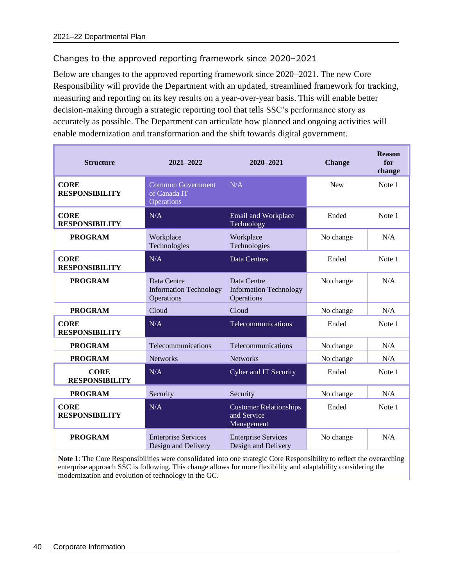## Changes to the approved reporting framework since 2020–2021

Below are changes to the approved reporting framework since 2020–2021. The new Core Responsibility will provide the Department with an updated, streamlined framework for tracking, measuring and reporting on its key results on a year-over-year basis. This will enable better decision-making through a strategic reporting tool that tells SSC's performance story as accurately as possible. The Department can articulate how planned and ongoing activities will enable modernization and transformation and the shift towards digital government.

| <b>Structure</b>                     | 2021-2022                                                  | 2020-2021                                                  | <b>Change</b> | <b>Reason</b><br>for<br>change |
|--------------------------------------|------------------------------------------------------------|------------------------------------------------------------|---------------|--------------------------------|
| <b>CORE</b><br><b>RESPONSIBILITY</b> | <b>Common Government</b><br>of Canada IT<br>Operations     | N/A                                                        | <b>New</b>    | Note 1                         |
| <b>CORE</b><br><b>RESPONSIBILITY</b> | N/A                                                        | Email and Workplace<br>Technology                          | Ended         | Note 1                         |
| <b>PROGRAM</b>                       | Workplace<br>Technologies                                  | Workplace<br>Technologies                                  | No change     | N/A                            |
| <b>CORE</b><br><b>RESPONSIBILITY</b> | N/A                                                        | <b>Data Centres</b>                                        | Ended         | Note 1                         |
| <b>PROGRAM</b>                       | Data Centre<br><b>Information Technology</b><br>Operations | Data Centre<br><b>Information Technology</b><br>Operations | No change     | N/A                            |
| <b>PROGRAM</b>                       | Cloud                                                      | Cloud                                                      | No change     | N/A                            |
| <b>CORE</b><br><b>RESPONSIBILITY</b> | N/A                                                        | Telecommunications                                         | Ended         | Note 1                         |
| <b>PROGRAM</b>                       | Telecommunications                                         | Telecommunications                                         | No change     | N/A                            |
| <b>PROGRAM</b>                       | <b>Networks</b>                                            | <b>Networks</b>                                            | No change     | N/A                            |
| <b>CORE</b><br><b>RESPONSIBILITY</b> | N/A                                                        | Cyber and IT Security                                      | Ended         | Note 1                         |
| <b>PROGRAM</b>                       | Security                                                   | Security                                                   | No change     | N/A                            |
| <b>CORE</b><br><b>RESPONSIBILITY</b> | N/A                                                        | <b>Customer Relationships</b><br>and Service<br>Management | Ended         | Note 1                         |
| <b>PROGRAM</b>                       | <b>Enterprise Services</b><br>Design and Delivery          | <b>Enterprise Services</b><br>Design and Delivery          | No change     | N/A                            |

**Note 1**: The Core Responsibilities were consolidated into one strategic Core Responsibility to reflect the overarching enterprise approach SSC is following. This change allows for more flexibility and adaptability considering the modernization and evolution of technology in the GC.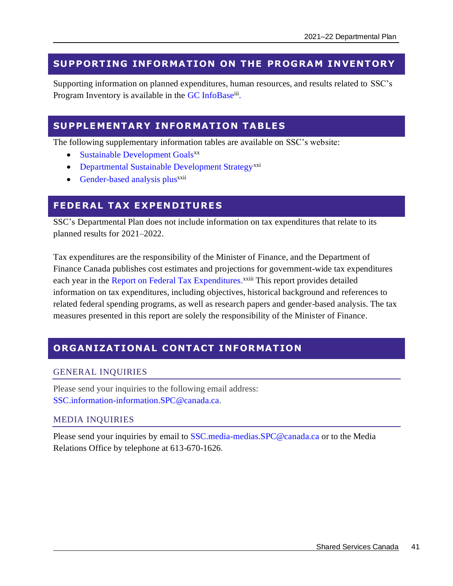# <span id="page-44-0"></span>**SU PPORT ING INFORMATION ON THE PROGRAM INVENTOR Y**

Supporting information on planned expenditures, human resources, and results related to SSC's Program Inventory is available in the [GC InfoBase](https://www.tbs-sct.gc.ca/ems-sgd/edb-bdd/index-eng.html#orgs/dept/305/infograph/intro)[iii](https://www.tbs-sct.gc.ca/ems-sgd/edb-bdd/index-eng.html#orgs/dept/305/infograph/intro).

# <span id="page-44-1"></span>**SUPPLEMENTARY INFORMATION TABLES**

The following supplementary information tables are available on SSC's website:

- [Sustainable Development Goals](https://www.canada.ca/en/shared-services/corporate/publications/2021-22-departmental-plan/supplementary-tables/united-nations-agenda-sustainable-development-goals-2030.html)<sup>xx</sup>
- [Departmental Sustainable Development Strategy](https://www.canada.ca/en/shared-services/corporate/publications/2021-22-departmental-plan/supplementary-tables/departmental-sustainable-development-strategy-2020-23.html)<sup>xxi</sup>
- [Gender-based analysis plus](https://www.canada.ca/en/shared-services/corporate/publications/2021-22-departmental-plan/supplementary-tables/gender-based-analysis-plus.html)<sup>xxii</sup>

# <span id="page-44-2"></span>**FEDE RAL TA X E XPENDITURE S**

SSC's Departmental Plan does not include information on tax expenditures that relate to its planned results for 2021–2022.

Tax expenditures are the responsibility of the Minister of Finance, and the Department of Finance Canada publishes cost estimates and projections for government-wide tax expenditures each year in the [Report on Federal Tax Expenditures.](https://www.canada.ca/en/department-finance/services/publications/federal-tax-expenditures.html)<sup>xxiii</sup> This report provides detailed information on tax expenditures, including objectives, historical background and references to related federal spending programs, as well as research papers and gender-based analysis. The tax measures presented in this report are solely the responsibility of the Minister of Finance.

# <span id="page-44-3"></span>**ORGANIZATIONAL CONTACT INFORMATION**

#### GENERAL INQUIRIES

Please send your inquiries to the following email address: [SSC.information-information.SPC@canada.ca.](mailto:SSC.information-information.SPC@canada.ca)

## MEDIA INQUIRIES

Please send your inquiries by email to [SSC.media-medias.SPC@canada.ca](mailto:SSC.media-medias.SPC@canada.ca) or to the Media Relations Office by telephone at 613-670-1626.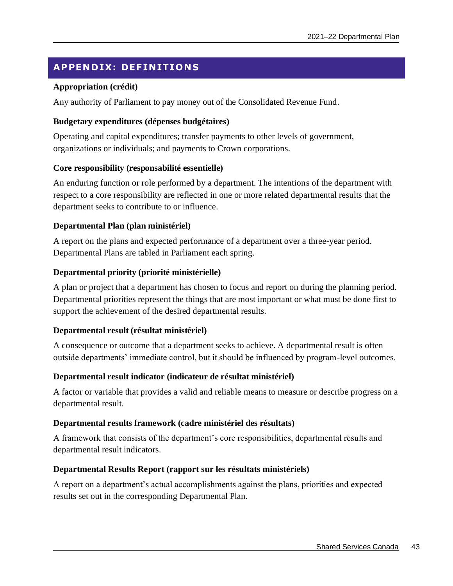# <span id="page-46-0"></span>**APPENDIX: DEF IN ITION S**

#### **Appropriation (crédit)**

Any authority of Parliament to pay money out of the Consolidated Revenue Fund.

#### **Budgetary expenditures (dépenses budgétaires)**

Operating and capital expenditures; transfer payments to other levels of government, organizations or individuals; and payments to Crown corporations.

#### **Core responsibility (responsabilité essentielle)**

An enduring function or role performed by a department. The intentions of the department with respect to a core responsibility are reflected in one or more related departmental results that the department seeks to contribute to or influence.

#### **Departmental Plan (plan ministériel)**

A report on the plans and expected performance of a department over a three-year period. Departmental Plans are tabled in Parliament each spring.

#### **Departmental priority (priorité ministérielle)**

A plan or project that a department has chosen to focus and report on during the planning period. Departmental priorities represent the things that are most important or what must be done first to support the achievement of the desired departmental results.

#### **Departmental result (résultat ministériel)**

A consequence or outcome that a department seeks to achieve. A departmental result is often outside departments' immediate control, but it should be influenced by program-level outcomes.

#### **Departmental result indicator (indicateur de résultat ministériel)**

A factor or variable that provides a valid and reliable means to measure or describe progress on a departmental result.

#### **Departmental results framework (cadre ministériel des résultats)**

A framework that consists of the department's core responsibilities, departmental results and departmental result indicators.

#### **Departmental Results Report (rapport sur les résultats ministériels)**

A report on a department's actual accomplishments against the plans, priorities and expected results set out in the corresponding Departmental Plan.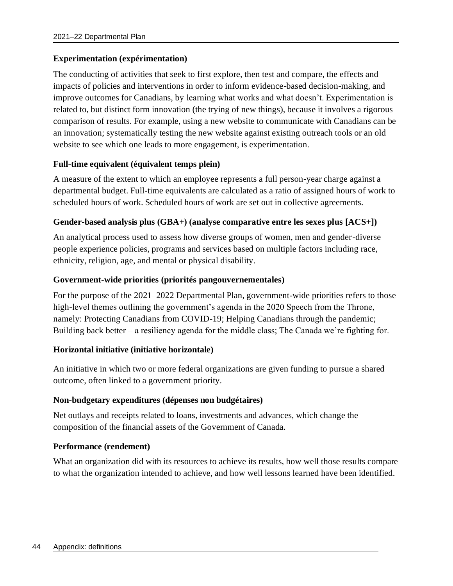#### **Experimentation (expérimentation)**

The conducting of activities that seek to first explore, then test and compare, the effects and impacts of policies and interventions in order to inform evidence-based decision-making, and improve outcomes for Canadians, by learning what works and what doesn't. Experimentation is related to, but distinct form innovation (the trying of new things), because it involves a rigorous comparison of results. For example, using a new website to communicate with Canadians can be an innovation; systematically testing the new website against existing outreach tools or an old website to see which one leads to more engagement, is experimentation.

#### **Full-time equivalent (équivalent temps plein)**

A measure of the extent to which an employee represents a full person-year charge against a departmental budget. Full-time equivalents are calculated as a ratio of assigned hours of work to scheduled hours of work. Scheduled hours of work are set out in collective agreements.

#### **Gender-based analysis plus (GBA+) (analyse comparative entre les sexes plus [ACS+])**

An analytical process used to assess how diverse groups of women, men and gender-diverse people experience policies, programs and services based on multiple factors including race, ethnicity, religion, age, and mental or physical disability.

#### **Government-wide priorities (priorités pangouvernementales)**

For the purpose of the 2021–2022 Departmental Plan, government-wide priorities refers to those high-level themes outlining the government's agenda in the 2020 Speech from the Throne, namely: Protecting Canadians from COVID-19; Helping Canadians through the pandemic; Building back better – a resiliency agenda for the middle class; The Canada we're fighting for.

#### **Horizontal initiative (initiative horizontale)**

An initiative in which two or more federal organizations are given funding to pursue a shared outcome, often linked to a government priority.

#### **Non-budgetary expenditures (dépenses non budgétaires)**

Net outlays and receipts related to loans, investments and advances, which change the composition of the financial assets of the Government of Canada.

#### **Performance (rendement)**

What an organization did with its resources to achieve its results, how well those results compare to what the organization intended to achieve, and how well lessons learned have been identified.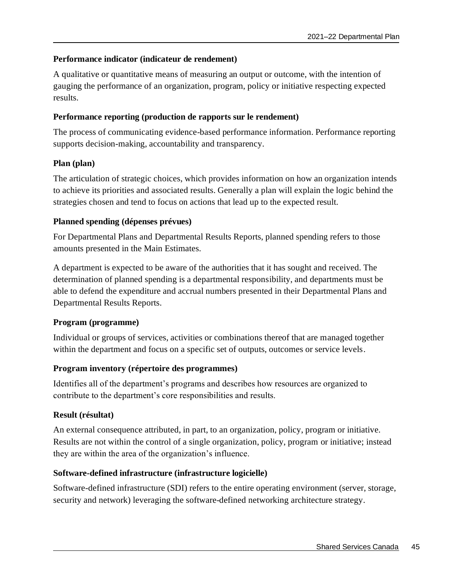# **Performance indicator (indicateur de rendement)**

A qualitative or quantitative means of measuring an output or outcome, with the intention of gauging the performance of an organization, program, policy or initiative respecting expected results.

## **Performance reporting (production de rapports sur le rendement)**

The process of communicating evidence-based performance information. Performance reporting supports decision-making, accountability and transparency.

# **Plan (plan)**

The articulation of strategic choices, which provides information on how an organization intends to achieve its priorities and associated results. Generally a plan will explain the logic behind the strategies chosen and tend to focus on actions that lead up to the expected result.

# **Planned spending (dépenses prévues)**

For Departmental Plans and Departmental Results Reports, planned spending refers to those amounts presented in the Main Estimates.

A department is expected to be aware of the authorities that it has sought and received. The determination of planned spending is a departmental responsibility, and departments must be able to defend the expenditure and accrual numbers presented in their Departmental Plans and Departmental Results Reports.

## **Program (programme)**

Individual or groups of services, activities or combinations thereof that are managed together within the department and focus on a specific set of outputs, outcomes or service levels.

# **Program inventory (répertoire des programmes)**

Identifies all of the department's programs and describes how resources are organized to contribute to the department's core responsibilities and results.

## **Result (résultat)**

An external consequence attributed, in part, to an organization, policy, program or initiative. Results are not within the control of a single organization, policy, program or initiative; instead they are within the area of the organization's influence.

## **Software-defined infrastructure (infrastructure logicielle)**

Software-defined infrastructure (SDI) refers to the entire operating environment (server, storage, security and network) leveraging the software-defined networking architecture strategy.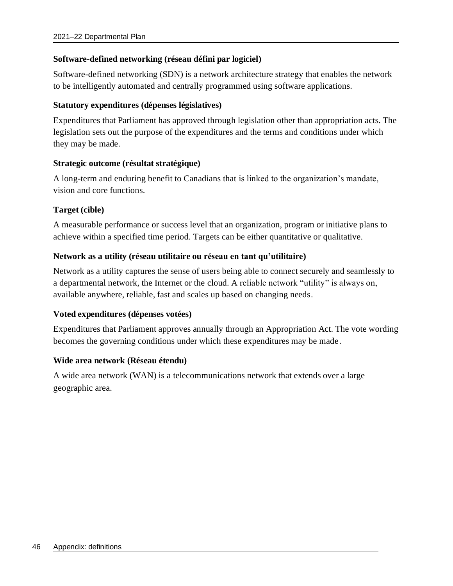## **Software-defined networking (réseau défini par logiciel)**

Software-defined networking (SDN) is a network architecture strategy that enables the network to be intelligently automated and centrally programmed using software applications.

## **Statutory expenditures (dépenses législatives)**

Expenditures that Parliament has approved through legislation other than appropriation acts. The legislation sets out the purpose of the expenditures and the terms and conditions under which they may be made.

# **Strategic outcome (résultat stratégique)**

A long-term and enduring benefit to Canadians that is linked to the organization's mandate, vision and core functions.

# **Target (cible)**

A measurable performance or success level that an organization, program or initiative plans to achieve within a specified time period. Targets can be either quantitative or qualitative.

# **Network as a utility (réseau utilitaire ou réseau en tant qu'utilitaire)**

Network as a utility captures the sense of users being able to connect securely and seamlessly to a departmental network, the Internet or the cloud. A reliable network "utility" is always on, available anywhere, reliable, fast and scales up based on changing needs.

## **Voted expenditures (dépenses votées)**

Expenditures that Parliament approves annually through an Appropriation Act. The vote wording becomes the governing conditions under which these expenditures may be made.

## **Wide area network (Réseau étendu)**

A wide area network (WAN) is a telecommunications network that extends over a large geographic area.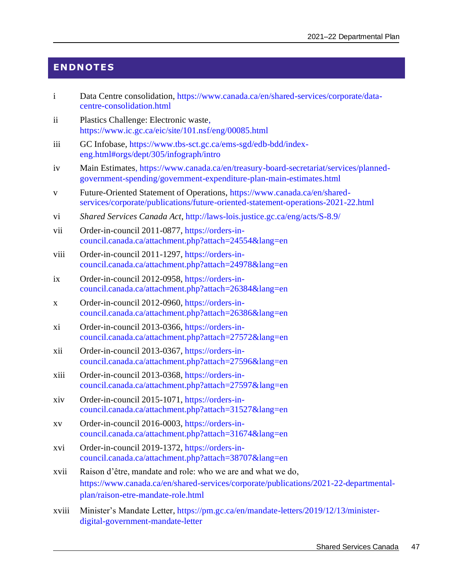# <span id="page-50-0"></span>**ENDNOTES**

- i Data Centre consolidation, [https://www.canada.ca/en/shared-services/corporate/data](https://www.canada.ca/en/shared-services/corporate/data-centre-consolidation.html)[centre-consolidation.html](https://www.canada.ca/en/shared-services/corporate/data-centre-consolidation.html)
- ii Plastics Challenge: Electronic waste, https://www.ic.gc.ca/eic/site/101.nsf/eng/00085.html
- iii GC Infobase, [https://www.tbs-sct.gc.ca/ems-sgd/edb-bdd/index](https://www.tbs-sct.gc.ca/ems-sgd/edb-bdd/index-eng.html#orgs/dept/305/infograph/intro)[eng.html#orgs/dept/305/infograph/intro](https://www.tbs-sct.gc.ca/ems-sgd/edb-bdd/index-eng.html#orgs/dept/305/infograph/intro)
- iv Main Estimates, [https://www.canada.ca/en/treasury-board-secretariat/services/planned](https://www.canada.ca/en/treasury-board-secretariat/services/planned-government-spending/government-expenditure-plan-main-estimates.html)[government-spending/government-expenditure-plan-main-estimates.html](https://www.canada.ca/en/treasury-board-secretariat/services/planned-government-spending/government-expenditure-plan-main-estimates.html)
- v Future-Oriented Statement of Operations, [https://www.canada.ca/en/shared](https://www.canada.ca/en/shared-services/corporate/publications/future-oriented-statement-operations-2021-22.html)[services/corporate/publications/future-oriented-statement-operations-2021-22.html](https://www.canada.ca/en/shared-services/corporate/publications/future-oriented-statement-operations-2021-22.html)
- vi *Shared Services Canada Act*,<http://laws-lois.justice.gc.ca/eng/acts/S-8.9/>
- vii Order-in-council 2011-0877[, https://orders-in](https://orders-in-council.canada.ca/attachment.php?attach=24554&lang=en)[council.canada.ca/attachment.php?attach=24554&lang=en](https://orders-in-council.canada.ca/attachment.php?attach=24554&lang=en)
- viii Order-in-council 2011-1297[, https://orders-in](https://orders-in-council.canada.ca/attachment.php?attach=24978&lang=en)[council.canada.ca/attachment.php?attach=24978&lang=en](https://orders-in-council.canada.ca/attachment.php?attach=24978&lang=en)
- ix Order-in-council 2012-0958[, https://orders-in](https://orders-in-council.canada.ca/attachment.php?attach=26384&lang=en)[council.canada.ca/attachment.php?attach=26384&lang=en](https://orders-in-council.canada.ca/attachment.php?attach=26384&lang=en)
- x Order-in-council 2012-0960[, https://orders-in](https://orders-in-council.canada.ca/attachment.php?attach=26386&lang=en)[council.canada.ca/attachment.php?attach=26386&lang=en](https://orders-in-council.canada.ca/attachment.php?attach=26386&lang=en)
- xi Order-in-council 2013-0366[, https://orders-in](https://orders-in-council.canada.ca/attachment.php?attach=27572&lang=en)[council.canada.ca/attachment.php?attach=27572&lang=en](https://orders-in-council.canada.ca/attachment.php?attach=27572&lang=en)
- xii Order-in-council 2013-0367[, https://orders-in](https://orders-in-council.canada.ca/attachment.php?attach=27596&lang=en)[council.canada.ca/attachment.php?attach=27596&lang=en](https://orders-in-council.canada.ca/attachment.php?attach=27596&lang=en)
- xiii Order-in-council 2013-0368[, https://orders-in](https://orders-in-council.canada.ca/attachment.php?attach=27597&lang=en)[council.canada.ca/attachment.php?attach=27597&lang=en](https://orders-in-council.canada.ca/attachment.php?attach=27597&lang=en)
- xiv Order-in-council 2015-1071[, https://orders-in](https://orders-in-council.canada.ca/attachment.php?attach=31527&lang=en)[council.canada.ca/attachment.php?attach=31527&lang=en](https://orders-in-council.canada.ca/attachment.php?attach=31527&lang=en)
- xv Order-in-council 2016-0003[, https://orders-in](https://orders-in-council.canada.ca/attachment.php?attach=31674&lang=en)[council.canada.ca/attachment.php?attach=31674&lang=en](https://orders-in-council.canada.ca/attachment.php?attach=31674&lang=en)
- xvi Order-in-council 2019-1372[, https://orders-in](https://orders-in-council.canada.ca/attachment.php?attach=38707&lang=en)[council.canada.ca/attachment.php?attach=38707&lang=en](https://orders-in-council.canada.ca/attachment.php?attach=38707&lang=en)
- xvii Raison d'être, mandate and role: who we are and what we do, [https://www.canada.ca/en/shared-services/corporate/publications/2021-22-departmental](https://www.canada.ca/en/shared-services/corporate/publications/2021-22-departmental-plan/mandate-role.html)[plan/raison-etre-mandate-role.html](https://www.canada.ca/en/shared-services/corporate/publications/2021-22-departmental-plan/mandate-role.html)
- xviii Minister's Mandate Letter, [https://pm.gc.ca/en/mandate-letters/2019/12/13/minister](https://pm.gc.ca/en/mandate-letters/2019/12/13/minister-digital-government-mandate-letter)[digital-government-mandate-letter](https://pm.gc.ca/en/mandate-letters/2019/12/13/minister-digital-government-mandate-letter)